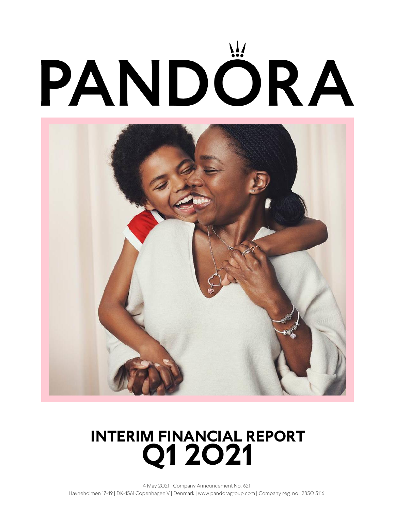

# **Q1 2O21 INTERIM FINANCIAL REPORT**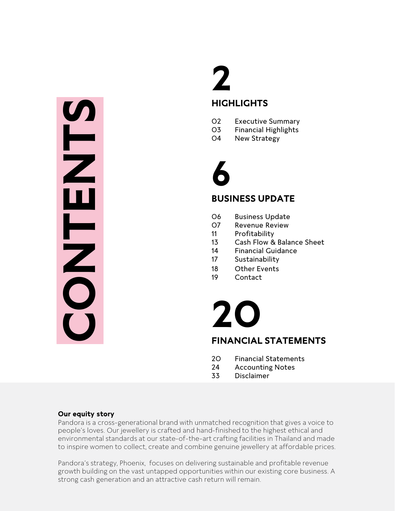# Financia<br>
Strong case of the strong case of the strong case of the strong case of the strong case of the strong case of the strong case of the strong case of the strong case of the strong cash provided to the proof the con

# **HIGHLIGHTS**

- Executive Summary
- Financial Highlights
- New Strategy

# 

# **BUSINESS UPDATE**

- Business Update
- Revenue Review
- Profitability
- Cash Flow & Balance Sheet
- Financial Guidance
- Sustainability
- Other Events
- Contact

# **FINANCIAL STATEMENTS**

- Financial Statements
- Accounting Notes
- Disclaimer

# **Our equity story**

Pandora is a cross-generational brand with unmatched recognition that gives a voice to people's loves. Our jewellery is crafted and hand-finished to the highest ethical and environmental standards at our state-of-the-art crafting facilities in Thailand and made to inspire women to collect, create and combine genuine jewellery at affordable prices.

Pandora's strategy, Phoenix, focuses on delivering sustainable and profitable revenue growth building on the vast untapped opportunities within our existing core business. A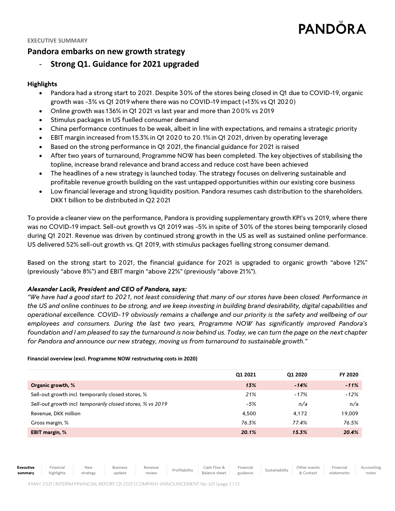### **EXECUTIVE SUMMARY**

# **Pandora embarks on new growth strategy**

# - **Strong Q1. Guidance for 2021 upgraded**

# **Highlights**

- Pandora had a strong start to 2021. Despite 30% of the stores being closed in Q1 due to COVID-19, organic growth was -3% vs Q1 2019 where there was no COVID-19 impact (+13% vs Q1 2020)
- Online growth was 136% in Q1 2021 vs last year and more than 200% vs 2019
- Stimulus packages in US fuelled consumer demand
- China performance continues to be weak, albeit in line with expectations, and remains a strategic priority
- EBIT margin increased from 15.3% in Q1 2020 to 20.1% in Q1 2021, driven by operating leverage
- Based on the strong performance in Q1 2021, the financial guidance for 2021 is raised
- After two years of turnaround, Programme NOW has been completed. The key objectives of stabilising the topline, increase brand relevance and brand access and reduce cost have been achieved
- The headlines of a new strategy is launched today. The strategy focuses on delivering sustainable and profitable revenue growth building on the vast untapped opportunities within our existing core business
- Low financial leverage and strong liquidity position. Pandora resumes cash distribution to the shareholders. DKK 1 billion to be distributed in Q2 2021

To provide a cleaner view on the performance, Pandora is providing supplementary growth KPI's vs 2019, where there was no COVID-19 impact. Sell-out growth vs Q1 2019 was -5% in spite of 30% of the stores being temporarily closed during Q1 2021. Revenue was driven by continued strong growth in the US as well as sustained online performance. US delivered 52% sell-out growth vs. Q1 2019, with stimulus packages fuelling strong consumer demand.

Based on the strong start to 2021, the financial guidance for 2021 is upgraded to organic growth "above 12%" (previously "above 8%") and EBIT margin "above 22%" (previously "above 21%").

# *Alexander Lacik, President and CEO of Pandora, says:*

*"We have had a good start to 2021, not least considering that many of our stores have been closed. Performance in the US and online continues to be strong, and we keep investing in building brand desirability, digital capabilities and operational excellence. COVID-19 obviously remains a challenge and our priority is the safety and wellbeing of our*  employees and consumers. During the last two years, Programme NOW has significantly improved Pandora's *foundation and I am pleased to say the turnaround is now behind us. Today, we can turn the page on the next chapter for Pandora and announce our new strategy, moving us from turnaround to sustainable growth."*

### **Financial overview (excl. Programme NOW restructuring costs in 2020)**

|                                                            | Q1 2021 | Q1 2020 | FY 2020 |
|------------------------------------------------------------|---------|---------|---------|
| Organic growth, %                                          | 13%     | $-14%$  | $-11%$  |
| Sell-out growth incl. temporarily closed stores, %         | 21%     | $-17%$  | $-12%$  |
| Sell-out growth incl. temporarily closed stores, % vs 2019 | $-5%$   | n/a     | n/a     |
| Revenue, DKK million                                       | 4.500   | 4.172   | 19,009  |
| Gross margin, %                                            | 76.3%   | 77.4%   | 76.5%   |
| <b>EBIT margin, %</b>                                      | 20.1%   | 15.3%   | 20.4%   |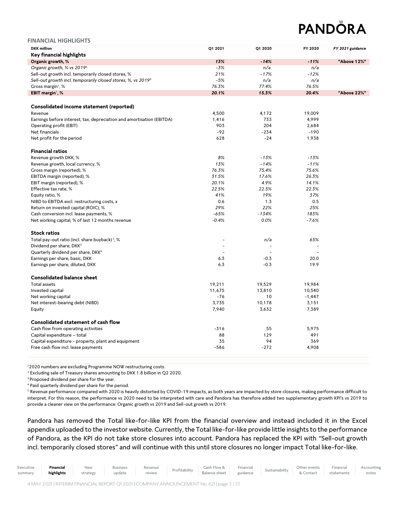| <b>FINANCIAL HIGHLIGHTS</b>                                              |                          |         |          |                  |
|--------------------------------------------------------------------------|--------------------------|---------|----------|------------------|
| <b>DKK</b> million                                                       | Q1 2021                  | Q1 2020 | FY 2020  | FY 2021 guidance |
| Key financial highlights                                                 |                          |         |          |                  |
| Organic growth, %                                                        | 13%                      | $-14%$  | $-11%$   | "Above 12%"      |
| Organic growth, % vs 2019 <sup>5</sup>                                   | $-3%$                    | n/a     | n/a      |                  |
| Sell-out growth incl. temporarily closed stores, %                       | 21%                      | $-17%$  | $-12%$   |                  |
| Sell-out growth incl. temporarily closed stores, %, vs 2019 <sup>5</sup> | $-5%$                    | n/a     | n/a      |                  |
| Gross margin <sup>1</sup> , %                                            | 76.3%                    | 77.4%   | 76.5%    |                  |
| EBIT margin <sup>1</sup> , %                                             | 20.1%                    | 15.3%   | 20.4%    | "Above 22%"      |
|                                                                          |                          |         |          |                  |
| Consolidated income statement (reported)                                 |                          |         |          |                  |
| Revenue                                                                  | 4,500                    | 4,172   | 19,009   |                  |
| Earnings before interest, tax, depreciation and amortisation (EBITDA)    | 1,416                    | 733     | 4,999    |                  |
| Operating profit (EBIT)                                                  | 903                      | 204     | 2,684    |                  |
| Net financials                                                           | $-92$                    | $-234$  | $-190$   |                  |
| Net profit for the period                                                | 628                      | $-24$   | 1,938    |                  |
| <b>Financial ratios</b>                                                  |                          |         |          |                  |
| Revenue growth DKK, %                                                    | 8%                       | $-13%$  | $-13%$   |                  |
| Revenue growth, local currency, %                                        | 13%                      | $-14%$  | $-11%$   |                  |
| Gross margin (reported), %                                               | 76.3%                    | 75.4%   | 75.6%    |                  |
| EBITDA margin (reported), %                                              | 31.5%                    | 17.6%   | 26.3%    |                  |
| EBIT margin (reported), %                                                | 20.1%                    | 4.9%    | 14.1%    |                  |
| Effective tax rate, %                                                    | 22.5%                    | 22.5%   | 22.3%    |                  |
| Equity ratio, %                                                          | 41%                      | 19%     | 37%      |                  |
| NIBD to EBITDA excl. restructuring costs, x                              | 0.6                      | 1.3     | 0.5      |                  |
| Return on invested capital (ROIC), %                                     | 29%                      | 22%     | 25%      |                  |
| Cash conversion incl. lease payments, %                                  | $-65%$                   | $-134%$ | 183%     |                  |
| Net working capital, % of last 12 months revenue                         | $-0.4%$                  | 0.0%    | $-7.6%$  |                  |
| <b>Stock ratios</b>                                                      |                          |         |          |                  |
| Total pay-out ratio (incl. share buyback) <sup>2</sup> , %               |                          | n/a     | 65%      |                  |
| Dividend per share, DKK <sup>3</sup>                                     | $\overline{\phantom{a}}$ |         |          |                  |
| Quarterly dividend per share, DKK <sup>4</sup>                           | $\overline{\phantom{a}}$ |         |          |                  |
| Earnings per share, basic, DKK                                           | 6.3                      | $-0.3$  | 20.0     |                  |
| Earnings per share, diluted, DKK                                         | 6.3                      | $-0.3$  | 19.9     |                  |
|                                                                          |                          |         |          |                  |
| <b>Consolidated balance sheet</b>                                        |                          |         |          |                  |
| <b>Total assets</b>                                                      | 19,211                   | 19,529  | 19,984   |                  |
| Invested capital                                                         | 11,675                   | 13,810  | 10,540   |                  |
| Net working capital                                                      | $-76$                    | 10      | $-1,447$ |                  |
| Net interest-bearing debt (NIBD)                                         | 3,735                    | 10,178  | 3,151    |                  |
| Equity                                                                   | 7,940                    | 3,632   | 7,389    |                  |
| Consolidated statement of cash flow                                      |                          |         |          |                  |
| Cash flow from operating activities                                      | $-316$                   | 55      | 5,975    |                  |
| Capital expenditure - total                                              | 88                       | 129     | 491      |                  |
| Capital expenditure - property, plant and equipment                      | 35                       | 94      | 369      |                  |
| Free cash flow incl. lease payments                                      | $-586$                   | $-272$  | 4,908    |                  |
|                                                                          |                          |         |          |                  |

<sup>1</sup>2020 numbers are excluding Programme NOW restructuring costs.

<sup>2</sup> Excluding sale of Treasury shares amounting to DKK 1.8 billion in Q2 2020.

<sup>3</sup> Proposed dividend per share for the year.

<sup>4</sup> Paid quarterly dividend per share for the period.

<sup>5</sup> Revenue performance compared with 2020 is heavily distorted by COVID-19 impacts, as both years are impacted by store closures, making performance difficult to interpret. For this reason, the performance vs 2020 need to be interpreted with care and Pandora has therefore added two supplementary growth KPI's vs 2019 to provide a cleaner view on the performance: Organic growth vs 2019 and Sell-out growth vs 2019.

Pandora has removed the Total like-for-like KPI from the financial overview and instead included it in the Excel appendix uploaded to the investor website. Currently, the Total like-for-like provide little insights to the performance of Pandora, as the KPI do not take store closures into account. Pandora has replaced the KPI with "Sell-out growth incl. temporarily closed stores" and will continue with this until store closures no longer impact Total like-for-like.

|  | Executive<br>summary | Financial<br>highlights | <b>New</b><br>strategy | <b>Business</b><br>update | review |  | Revenue Profitability Cash Flow & Financial Sustainability Other events Financial Profitability Pelphone check<br>Balance sheet guidance |  |  | & Contact | statements | Accounting<br>notes |
|--|----------------------|-------------------------|------------------------|---------------------------|--------|--|------------------------------------------------------------------------------------------------------------------------------------------|--|--|-----------|------------|---------------------|
|--|----------------------|-------------------------|------------------------|---------------------------|--------|--|------------------------------------------------------------------------------------------------------------------------------------------|--|--|-----------|------------|---------------------|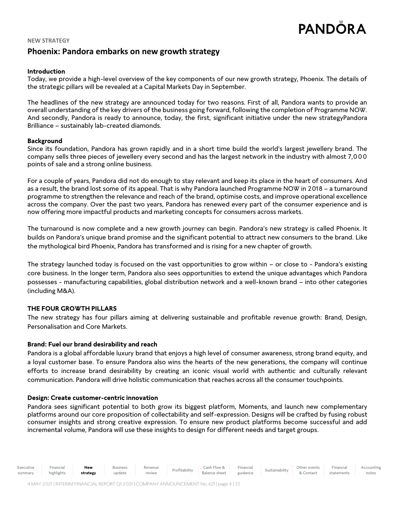# **NEW STRATEGY Phoenix: Pandora embarks on new growth strategy**

# **Introduction**

Today, we provide a high-level overview of the key components of our new growth strategy, Phoenix. The details of the strategic pillars will be revealed at a Capital Markets Day in September.

The headlines of the new strategy are announced today for two reasons. First of all, Pandora wants to provide an overall understanding of the key drivers of the business going forward, following the completion of Programme NOW. And secondly, Pandora is ready to announce, today, the first, significant initiative under the new strategyPandora Brilliance – sustainably lab-created diamonds.

# **Background**

Since its foundation, Pandora has grown rapidly and in a short time build the world's largest jewellery brand. The company sells three pieces of jewellery every second and has the largest network in the industry with almost 7,0 0 0 points of sale and a strong online business.

For a couple of years, Pandora did not do enough to stay relevant and keep its place in the heart of consumers. And as a result, the brand lost some of its appeal. That is why Pandora launched Programme NOW in 2018 – a turnaround programme to strengthen the relevance and reach of the brand, optimise costs, and improve operational excellence across the company. Over the past two years, Pandora has renewed every part of the consumer experience and is now offering more impactful products and marketing concepts for consumers across markets.

The turnaround is now complete and a new growth journey can begin. Pandora's new strategy is called Phoenix. It builds on Pandora's unique brand promise and the significant potential to attract new consumers to the brand. Like the mythological bird Phoenix, Pandora has transformed and is rising for a new chapter of growth.

The strategy launched today is focused on the vast opportunities to grow within – or close to - Pandora's existing core business. In the longer term, Pandora also sees opportunities to extend the unique advantages which Pandora possesses - manufacturing capabilities, global distribution network and a well-known brand – into other categories (including M&A).

# **THE FOUR GROWTH PILLARS**

The new strategy has four pillars aiming at delivering sustainable and profitable revenue growth: Brand, Design, Personalisation and Core Markets.

# **Brand: Fuel our brand desirability and reach**

Pandora is a global affordable luxury brand that enjoys a high level of consumer awareness, strong brand equity, and a loyal customer base. To ensure Pandora also wins the hearts of the new generations, the company will continue efforts to increase brand desirability by creating an iconic visual world with authentic and culturally relevant communication. Pandora will drive holistic communication that reaches across all the consumer touchpoints.

# **Design: Create customer-centric innovation**

Pandora sees significant potential to both grow its biggest platform, Moments, and launch new complementary platforms around our core proposition of collectability and self-expression. Designs will be crafted by fusing robust consumer insights and strong creative expression. To ensure new product platforms become successful and add incremental volume, Pandora will use these insights to design for different needs and target groups.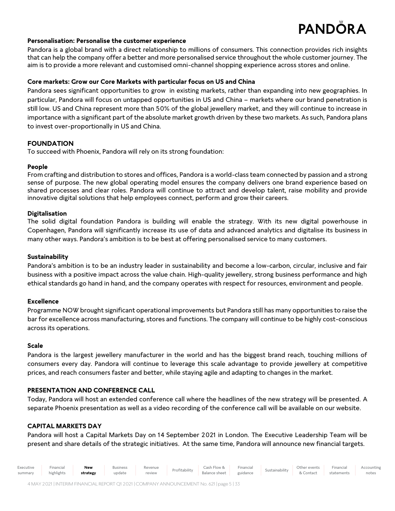Accounting notes

# **Personalisation: Personalise the customer experience**

Pandora is a global brand with a direct relationship to millions of consumers. This connection provides rich insights that can help the company offer a better and more personalised service throughout the whole customer journey. The aim is to provide a more relevant and customised omni-channel shopping experience across stores and online.

# **Core markets: Grow our Core Markets with particular focus on US and China**

Pandora sees significant opportunities to grow in existing markets, rather than expanding into new geographies. In particular, Pandora will focus on untapped opportunities in US and China – markets where our brand penetration is still low. US and China represent more than 50% of the global jewellery market, and they will continue to increase in importance with a significant part of the absolute market growth driven by these two markets. As such, Pandora plans to invest over-proportionally in US and China.

# **FOUNDATION**

To succeed with Phoenix, Pandora will rely on its strong foundation:

# **People**

From crafting and distribution to stores and offices, Pandora is a world-class team connected by passion and a strong sense of purpose. The new global operating model ensures the company delivers one brand experience based on shared processes and clear roles. Pandora will continue to attract and develop talent, raise mobility and provide innovative digital solutions that help employees connect, perform and grow their careers.

# **Digitalisation**

The solid digital foundation Pandora is building will enable the strategy. With its new digital powerhouse in Copenhagen, Pandora will significantly increase its use of data and advanced analytics and digitalise its business in many other ways. Pandora's ambition is to be best at offering personalised service to many customers.

# **Sustainability**

Pandora's ambition is to be an industry leader in sustainability and become a low-carbon, circular, inclusive and fair business with a positive impact across the value chain. High-quality jewellery, strong business performance and high ethical standards go hand in hand, and the company operates with respect for resources, environment and people.

# **Excellence**

Programme NOW brought significant operational improvements but Pandora still has many opportunities to raise the bar for excellence across manufacturing, stores and functions. The company will continue to be highly cost-conscious across its operations.

# **Scale**

Pandora is the largest jewellery manufacturer in the world and has the biggest brand reach, touching millions of consumers every day. Pandora will continue to leverage this scale advantage to provide jewellery at competitive prices, and reach consumers faster and better, while staying agile and adapting to changes in the market.

# **PRESENTATION AND CONFERENCE CALL**

Today, Pandora will host an extended conference call where the headlines of the new strategy will be presented. A separate Phoenix presentation as well as a video recording of the conference call will be available on our website.

# **CAPITAL MARKETS DAY**

Pandora will host a Capital Markets Day on 14 September 2021 in London. The Executive Leadership Team will be present and share details of the strategic initiatives. At the same time, Pandora will announce new financial targets.

| executive | -inancial  | New      | Business | Revenue | Profitabilit | Cash Flow &   | Financia <sub>1</sub> | inabilit | Other events | Financial  |
|-----------|------------|----------|----------|---------|--------------|---------------|-----------------------|----------|--------------|------------|
| summary   | highlights | strategy | update   | review  |              | Balance sheet | guidance              | Sustai   | Contac       | statements |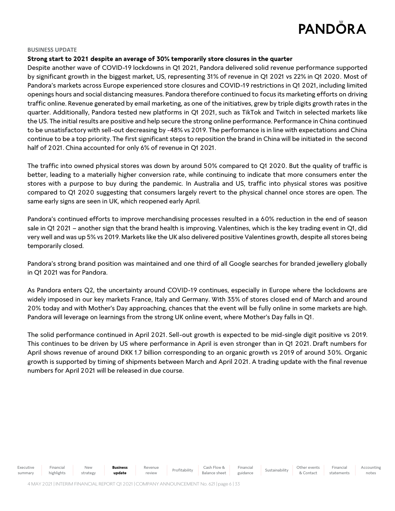### **BUSINESS UPDATE**

# **Strong start to 2021 despite an average of 30% temporarily store closures in the quarter**

Despite another wave of COVID-19 lockdowns in Q1 2021, Pandora delivered solid revenue performance supported by significant growth in the biggest market, US, representing 31% of revenue in Q1 2021 vs 22% in Q1 2020. Most of Pandora's markets across Europe experienced store closures and COVID-19 restrictions in Q12021, including limited openings hours and social distancing measures. Pandora therefore continued to focus its marketing efforts on driving traffic online. Revenue generated by email marketing, as one of the initiatives, grew by triple digits growth rates in the quarter. Additionally, Pandora tested new platforms in Q1 2021, such as TikTok and Twitch in selected markets like the US. The initial results are positive and help secure the strong online performance. Performance in China continued to be unsatisfactory with sell-out decreasing by -48% vs 2019. The performance is in line with expectations and China continue to be a top priority. The first significant steps to reposition the brand in China will be initiated in the second half of 2021. China accounted for only 6% of revenue in Q1 2021.

The traffic into owned physical stores was down by around 50% compared to Q1 2020. But the quality of traffic is better, leading to a materially higher conversion rate, while continuing to indicate that more consumers enter the stores with a purpose to buy during the pandemic. In Australia and US, traffic into physical stores was positive compared to Q1 2020 suggesting that consumers largely revert to the physical channel once stores are open. The same early signs are seen in UK, which reopened early April.

Pandora's continued efforts to improve merchandising processes resulted in a 60% reduction in the end of season sale in Q1 2021 – another sign that the brand health is improving. Valentines, which is the key trading event in Q1, did very well and was up 5% vs 2019. Markets like the UK also delivered positive Valentines growth, despite all stores being temporarily closed.

Pandora's strong brand position was maintained and one third of all Google searches for branded jewellery globally in Q12021 was for Pandora.

As Pandora enters Q2, the uncertainty around COVID-19 continues, especially in Europe where the lockdowns are widely imposed in our key markets France, Italy and Germany. With 35% of stores closed end of March and around 20% today and with Mother's Day approaching, chances that the event will be fully online in some markets are high. Pandora will leverage on learnings from the strong UK online event, where Mother's Day falls in Q1.

The solid performance continued in April 2021. Sell-out growth is expected to be mid-single digit positive vs 2019. This continues to be driven by US where performance in April is even stronger than in Q1 2021. Draft numbers for April shows revenue of around DKK 1.7 billion corresponding to an organic growth vs 2019 of around 30%. Organic growth is supported by timing of shipments between March and April 2021. A trading update with the final revenue numbers for April 2021 will be released in due course.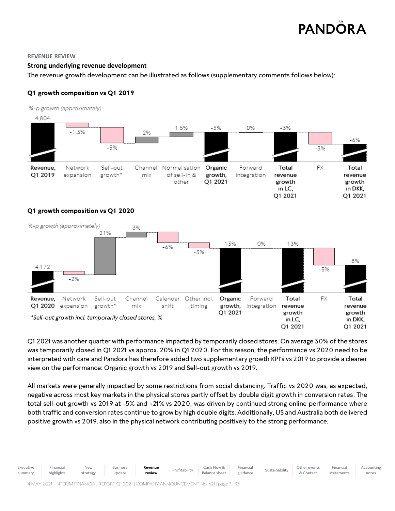### **REVENUE REVIEW**

# **Strong underlying revenue development**

The revenue growth development can be illustrated as follows (supplementary comments follows below):

# **Q1 growth composition vs Q1 2019**

%-p growth (approximately)



# **Q1 growth composition vs Q1 2020**



Q1 2021 was another quarter with performance impacted by temporarily closed stores. On average 30% of the stores was temporarily closed in Q1 2021 vs approx. 20% in Q1 2020. For this reason, the performance vs 2020 need to be interpreted with care and Pandora has therefore added two supplementary growth KPI's vs 2019 to provide a cleaner view on the performance: Organic growth vs 2019 and Sell-out growth vs 2019.

All markets were generally impacted by some restrictions from social distancing. Traffic vs 2020 was, as expected, negative across most key markets in the physical stores partly offset by double digit growth in conversion rates. The total sell-out growth vs 2019 at -5% and +21% vs 2020, was driven by continued strong online performance where both traffic and conversion rates continue to grow by high double digits. Additionally, US and Australia both delivered positive growth vs 2019, also in the physical network contributing positively to the strong performance.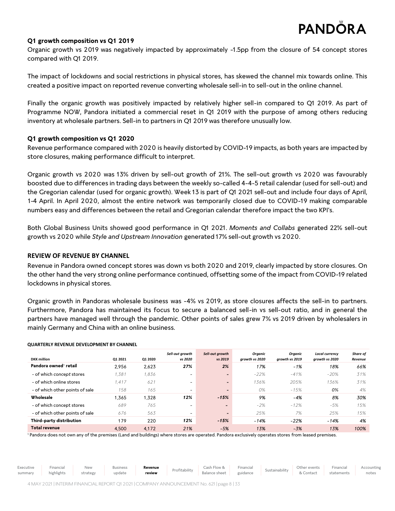# **Q1 growth composition vs Q1 2019**

Organic growth vs 2019 was negatively impacted by approximately -1.5pp from the closure of 54 concept stores compared with Q12019.

The impact of lockdowns and social restrictions in physical stores, has skewed the channel mix towards online. This created a positive impact on reported revenue converting wholesale sell-in to sell-out in the online channel.

Finally the organic growth was positively impacted by relatively higher sell-in compared to Q1 2019. As part of Programme NOW, Pandora initiated a commercial reset in Q1 2019 with the purpose of among others reducing inventory at wholesale partners. Sell-in to partners in Q1 2019 was therefore unusually low.

# **Q1 growth composition vs Q1 2020**

Revenue performance compared with 2020 is heavily distorted by COVID-19 impacts, as both years are impacted by store closures, making performance difficult to interpret.

Organic growth vs 2020 was 13% driven by sell-out growth of 21%. The sell-out growth vs 2020 was favourably boosted due to differences in trading days between the weekly so-called 4-4-5 retail calendar (used for sell-out) and the Gregorian calendar (used for organic growth). Week 13 is part of Q1 2021 sell-out and include four days of April, 1-4 April. In April 2020, almost the entire network was temporarily closed due to COVID-19 making comparable numbers easy and differences between the retail and Gregorian calendar therefore impact the two KPI's.

Both Global Business Units showed good performance in Q1 2021. *Moments and Collabs* generated 22% sell-out growth vs 2020 while *Style and Upstream Innovation* generated 17% sell-out growth vs 2020.

# **REVIEW OF REVENUE BY CHANNEL**

Revenue in Pandora owned concept stores was down vs both 2020 and 2019, clearly impacted by store closures. On the other hand the very strong online performance continued, offsetting some of the impact from COVID-19 related lockdowns in physical stores.

Organic growth in Pandoras wholesale business was -4% vs 2019, as store closures affects the sell-in to partners. Furthermore, Pandora has maintained its focus to secure a balanced sell-in vs sell-out ratio, and in general the partners have managed well through the pandemic. Other points of sales grew 7% vs 2019 driven by wholesalers in mainly Germany and China with an online business.

| <b>DKK</b> million                | 01 2021 | Q1 2020 | Sell-out growth<br>vs 2020 | Sell-out growth<br>vs 2019 | Organic<br>growth vs 2020 | Organic<br>growth vs 2019 | <b>Local currency</b><br>growth vs 2020 | Share of<br>Revenue |
|-----------------------------------|---------|---------|----------------------------|----------------------------|---------------------------|---------------------------|-----------------------------------------|---------------------|
| Pandora owned <sup>1</sup> retail | 2.956   | 2.623   | 27%                        | 2%                         | 17%                       | $-1%$                     | 18%                                     | 66%                 |
| - of which concept stores         | 1,381   | 1,836   | -                          | $\overline{\phantom{0}}$   | $-22%$                    | $-41%$                    | $-20%$                                  | 31%                 |
| - of which online stores          | 1.417   | 621     | $\overline{\phantom{0}}$   | $\overline{\phantom{0}}$   | 136%                      | 205%                      | 136%                                    | 31%                 |
| - of which other points of sale   | 158     | 165     | $\overline{\phantom{a}}$   | $\qquad \qquad$            | $O\%$                     | $-15%$                    | 0%                                      | 4%                  |
| Wholesale                         | 365. ا  | 1.328   | 12%                        | $-15%$                     | 9%                        | -4%                       | 8%                                      | 30%                 |
| - of which concept stores         | 689     | 765     | $\overline{\phantom{a}}$   | $\overline{\phantom{0}}$   | $-2%$                     | $-12%$                    | $-5%$                                   | 15%                 |
| - of which other points of sale   | 676     | 563     | $\overline{\phantom{0}}$   | $\overline{\phantom{0}}$   | 25%                       | 7%                        | 25%                                     | 15%                 |
| Third-party distribution          | 179     | 220     | 12%                        | $-15%$                     | $-14%$                    | $-22%$                    | $-14%$                                  | 4%                  |
| <b>Total revenue</b>              | 4.500   | 4,172   | 21%                        | $-5%$                      | 13%                       | $-3%$                     | 13%                                     | 100%                |

<sup>1</sup> Pandora does not own any of the premises (Land and buildings) where stores are operated. Pandora exclusively operates stores from leased premises.

Executive summary Financial highlights New strategy Business update **Revenue Revenue** Profitability Cash Flow & Balance sheet Financial Sustainability Other events & Contact Financial statements Accounting notes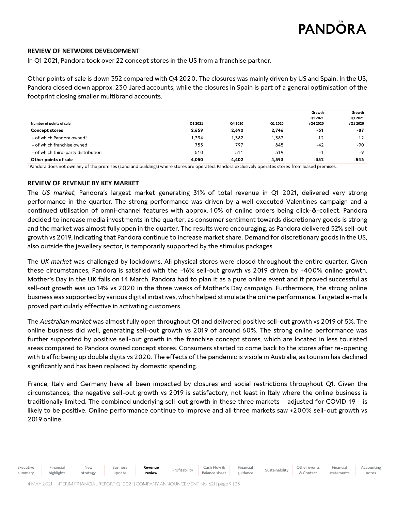Accounting notes

# **REVIEW OF NETWORK DEVELOPMENT**

In Q1 2021, Pandora took over 22 concept stores in the US from a franchise partner.

Other points of sale is down 352 compared with Q4 2020. The closures was mainly driven by US and Spain. In the US, Pandora closed down approx. 230 Jared accounts, while the closures in Spain is part of a general optimisation of the footprint closing smaller multibrand accounts.

| Number of points of sale              | Q1 2021 | Q4 2020 | Q1 2020 | Growth<br>Q1 2021<br>/Q4 2020 | Growth<br>Q1 2021<br>/Q1 2020 |
|---------------------------------------|---------|---------|---------|-------------------------------|-------------------------------|
| <b>Concept stores</b>                 | 2,659   | 2.690   | 2,746   | -31                           | -87                           |
| - of which Pandora owned <sup>1</sup> | 1,394   | 1,382   | 1,382   | 12                            | 12                            |
| - of which franchise owned            | 755     | 797     | 845     | $-42$                         | -90                           |
| - of which third-party distribution   | 510     | 511     | 519     | $-1$                          | $-9$                          |
| Other points of sale                  | 4,050   | 4.402   | 4.593   | -352                          | -543                          |

<sup>1</sup> Pandora does not own any of the premises (Land and buildings) where stores are operated. Pandora exclusively operates stores from leased premises.

# **REVIEW OF REVENUE BY KEY MARKET**

The *US market*, Pandora's largest market generating 31% of total revenue in Q1 2021, delivered very strong performance in the quarter. The strong performance was driven by a well-executed Valentines campaign and a continued utilisation of omni-channel features with approx. 10% of online orders being click-&-collect. Pandora decided to increase media investments in the quarter, as consumer sentiment towards discretionary goods is strong and the market was almost fully open in the quarter. The results were encouraging, as Pandora delivered 52% sell-out growth vs 2019, indicating that Pandora continue to increase market share. Demand for discretionary goods in the US, also outside the jewellery sector, is temporarily supported by the stimulus packages.

The *UK market* was challenged by lockdowns. All physical stores were closed throughout the entire quarter. Given these circumstances, Pandora is satisfied with the -16% sell-out growth vs 2019 driven by +400% online growth. Mother's Day in the UK falls on 14 March. Pandora had to plan it as a pure online event and it proved successful as sell-out growth was up 14% vs 2020 in the three weeks of Mother's Day campaign. Furthermore, the strong online business was supported by various digital initiatives, which helped stimulate the online performance. Targeted e-mails proved particularly effective in activating customers.

The *Australian market* was almost fully open throughout Q1 and delivered positive sell-out growth vs 2019 of 5%. The online business did well, generating sell-out growth vs 2019 of around 60%. The strong online performance was further supported by positive sell-out growth in the franchise concept stores, which are located in less touristed areas compared to Pandora owned concept stores. Consumers started to come back to the stores after re-opening with traffic being up double digits vs 2020. The effects of the pandemic is visible in Australia, as tourism has declined significantly and has been replaced by domestic spending.

France, Italy and Germany have all been impacted by closures and social restrictions throughout Q1. Given the circumstances, the negative sell-out growth vs 2019 is satisfactory, not least in Italy where the online business is traditionally limited. The combined underlying sell-out growth in these three markets – adjusted for COVID-19 – is likely to be positive. Online performance continue to improve and all three markets saw +200% sell-out growth vs 2019 online.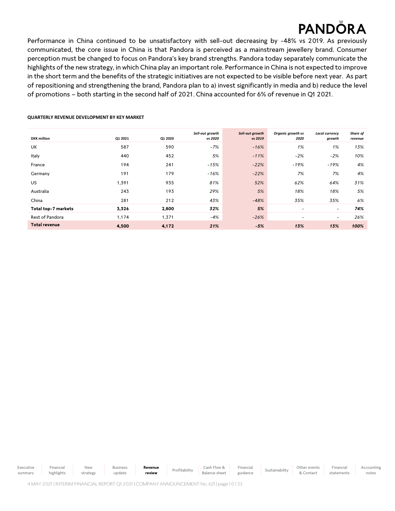Financial statements Accounting notes

Performance in China continued to be unsatisfactory with sell-out decreasing by -48% vs 2019. As previously communicated, the core issue in China is that Pandora is perceived as a mainstream jewellery brand. Consumer perception must be changed to focus on Pandora's key brand strengths. Pandora today separately communicate the highlights of the new strategy, in which China play an important role. Performance in China is not expected to improve in the short term and the benefits of the strategic initiatives are not expected to be visible before next year. As part of repositioning and strengthening the brand, Pandora plan to a) invest significantly in media and b) reduce the level of promotions – both starting in the second half of 2021. China accounted for 6% of revenue in Q1 2021.

### **QUARTERLY REVENUE DEVELOPMENT BY KEY MARKET**

|                      |         |         | Sell-out growth | Sell-out growth | Organic growth vs | <b>Local currency</b>    | Share of |
|----------------------|---------|---------|-----------------|-----------------|-------------------|--------------------------|----------|
| <b>DKK</b> million   | Q1 2021 | Q1 2020 | vs 2020         | vs 2019         | 2020              | growth                   | revenue  |
| UK                   | 587     | 590     | $-7%$           | $-16%$          | 1%                | 1%                       | 13%      |
| Italy                | 440     | 452     | 5%              | $-11%$          | $-2%$             | $-2%$                    | 10%      |
| France               | 194     | 241     | $-15%$          | $-22%$          | $-19%$            | $-19%$                   | 4%       |
| Germany              | 191     | 179     | $-16%$          | $-22%$          | 7%                | 7%                       | 4%       |
| <b>US</b>            | 1,391   | 935     | 81%             | 52%             | 62%               | 64%                      | 31%      |
| Australia            | 243     | 193     | 29%             | 5%              | 18%               | 18%                      | 5%       |
| China                | 281     | 212     | 43%             | $-48%$          | 35%               | 35%                      | 6%       |
| Total top-7 markets  | 3,326   | 2,800   | 32%             | 5%              | -                 | $\overline{\phantom{a}}$ | 74%      |
| Rest of Pandora      | 1,174   | 1,371   | $-4%$           | $-26%$          | ٠                 | $\overline{\phantom{a}}$ | 26%      |
| <b>Total revenue</b> | 4,500   | 4,172   | 21%             | $-5%$           | 13%               | 13%                      | 100%     |

Executive summary Financial highlights New strategy Business update **Revenue Profitability** Cash Flow & Balance sheet Financial Financial Sustainability Other events<br>guidance Sustainability & Contact & Contact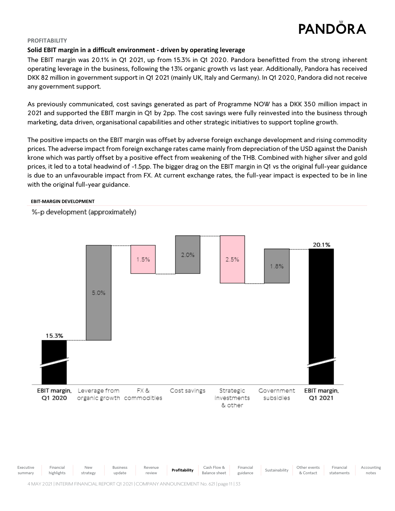

# **PROFITABILITY**

# **Solid EBIT margin in a difficult environment - driven by operating leverage**

The EBIT margin was 20.1% in Q1 2021, up from 15.3% in Q1 2020. Pandora benefitted from the strong inherent operating leverage in the business, following the 13% organic growth vs last year. Additionally, Pandora has received DKK 82 million in government support in Q1 2021 (mainly UK, Italy and Germany). In Q1 2020, Pandora did not receive any government support.

As previously communicated, cost savings generated as part of Programme NOW has a DKK 350 million impact in 2021 and supported the EBIT margin in Q1 by 2pp. The cost savings were fully reinvested into the business through marketing, data driven, organisational capabilities and other strategic initiatives to support topline growth.

The positive impacts on the EBIT margin was offset by adverse foreign exchange development and rising commodity prices. The adverse impact from foreign exchange rates came mainly from depreciation of the USD against the Danish krone which was partly offset by a positive effect from weakening of the THB. Combined with higher silver and gold prices, it led to a total headwind of -1.5pp. The bigger drag on the EBIT margin in Q1 vs the original full-year guidance is due to an unfavourable impact from FX. At current exchange rates, the full-year impact is expected to be in line with the original full-year guidance.

### **EBIT-MARGIN DEVELOPMENT**

%-p development (approximately)





4 MAY2021 | INTERIM FINANCIAL REPORT Q12021| COMPANY ANNOUNCEMENT No. 621| page 11| 33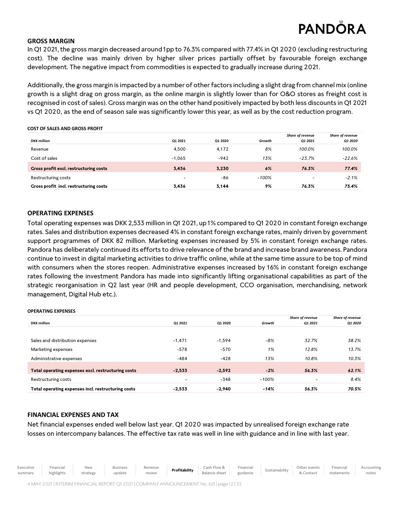# **PANDÔRA**

Accounting notes

# **GROSS MARGIN**

In Q1 2021, the gross margin decreased around 1pp to 76.3% compared with 77.4% in Q1 2020 (excluding restructuring cost). The decline was mainly driven by higher silver prices partially offset by favourable foreign exchange development. The negative impact from commodities is expected to gradually increase during 2021.

Additionally, the gross margin is impacted by a number of other factors including a slight drag from channel mix (online growth is a slight drag on gross margin, as the online margin is slightly lower than for O&O stores as freight cost is recognised in cost of sales). Gross margin was on the other hand positively impacted by both less discounts in Q1 2021 vs Q1 2020, as the end of season sale was significantly lower this year, as well as by the cost reduction program.

### **COST OF SALES AND GROSS PROFIT**

|                                        |                          |         |         | <b>Share of revenue</b>  | Share of revenue |
|----------------------------------------|--------------------------|---------|---------|--------------------------|------------------|
| <b>DKK</b> million                     | Q1 2021                  | Q1 2020 | Growth  | Q1 2021                  | Q1 2020          |
| Revenue                                | 4.500                    | 4,172   | 8%      | 100.0%                   | 100.0%           |
| Cost of sales                          | $-1.065$                 | $-942$  | 13%     | $-23.7%$                 | -22.6%           |
| Gross profit excl. restructuring costs | 3,436                    | 3.230   | 6%      | 76.3%                    | 77.4%            |
| Restructuring costs                    | $\overline{\phantom{a}}$ | $-86$   | $-100%$ | $\overline{\phantom{0}}$ | $-2.1%$          |
| Gross profit incl. restructuring costs | 3.436                    | 3.144   | 9%      | 76.3%                    | 75.4%            |

# **OPERATING EXPENSES**

Total operating expenses was DKK 2,533 million in Q1 2021, up1% compared to Q12020 in constant foreign exchange rates. Sales and distribution expenses decreased 4% in constant foreign exchange rates, mainly driven by government support programmes of DKK 82 million. Marketing expenses increased by 5% in constant foreign exchange rates. Pandora has deliberately continued its efforts to drive relevance of the brand and increase brand awareness. Pandora continue to invest in digital marketing activities to drive traffic online, while at the same time assure to be top of mind with consumers when the stores reopen. Administrative expenses increased by 16% in constant foreign exchange rates following the investment Pandora has made into significantly lifting organisational capabilities as part of the strategic reorganisation in Q2 last year (HR and people development, CCO organisation, merchandising, network management, Digital Hub etc.).

### **OPERATING EXPENSES**

|                                                    |                          |          |         | Share of revenue         | Share of revenue |
|----------------------------------------------------|--------------------------|----------|---------|--------------------------|------------------|
| <b>DKK</b> million                                 | 01 2021                  | Q1 2020  | Growth  | 01 2021                  | <b>Q1 2020</b>   |
|                                                    |                          |          |         |                          |                  |
| Sales and distribution expenses                    | $-1.471$                 | $-1.594$ | -8%     | 32.7%                    | 38.2%            |
| Marketing expenses                                 | $-578$                   | $-570$   | 1%      | 12.8%                    | 13.7%            |
| Administrative expenses                            | $-484$                   | $-428$   | 13%     | 10.8%                    | 10.3%            |
| Total operating expenses excl. restructuring costs | $-2.533$                 | $-2.592$ | $-2%$   | 56.3%                    | 62.1%            |
| Restructuring costs                                | $\overline{\phantom{a}}$ | $-348$   | $-100%$ | $\overline{\phantom{a}}$ | 8.4%             |
| Total operating expenses incl. restructuring costs | $-2.533$                 | $-2.940$ | $-14%$  | 56.3%                    | 70.5%            |
|                                                    |                          |          |         |                          |                  |

# **FINANCIAL EXPENSES AND TAX**

Net financial expenses ended well below last year. Q1 2020 was impacted by unrealised foreign exchange rate losses on intercompany balances. The effective tax rate was well in line with guidance and in line with last year.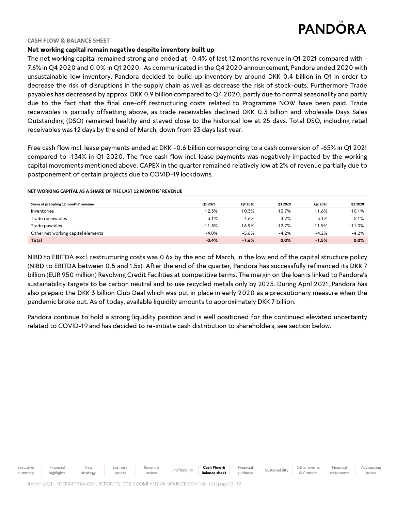

### **CASH FLOW & BALANCE SHEET**

# **Net working capital remain negative despite inventory built up**

The net working capital remained strong and ended at -0.4% of last 12 months revenue in Q1 2021 compared with - 7.6% in Q4 2020 and 0.0% in Q1 2020. As communicated in the Q4 2020 announcement, Pandora ended 2020 with unsustainable low inventory. Pandora decided to build up inventory by around DKK 0.4 billion in Q1 in order to decrease the risk of disruptions in the supply chain as well as decrease the risk of stock-outs. Furthermore Trade payables has decreased by approx. DKK 0.9 billion compared to Q4 2020, partly due to normal seasonality and partly due to the fact that the final one-off restructuring costs related to Programme NOW have been paid. Trade receivables is partially offsetting above, as trade receivables declined DKK 0.3 billion and wholesale Days Sales Outstanding (DSO) remained healthy and stayed close to the historical low at 25 days. Total DSO, including retail receivables was12 days by the end of March, down from 23 days last year.

Free cash flow incl. lease payments ended at DKK -0.6 billion corresponding to a cash conversion of -65% in Q1 2021 compared to -134% in Q1 2020. The free cash flow incl. lease payments was negatively impacted by the working capital movements mentioned above. CAPEX in the quarter remained relatively low at 2% of revenue partially due to postponement of certain projects due to COVID-19 lockdowns.

# **Share of preceding 12 months' revenue Q1 2021 Q4 2020 Q3 2020 Q2 2020 Q1 2020** Inventories 12.3% 10.3% 13.7% 11.6% 10.1% Trade receivables 3.1% 4.6% 3.2% 3.1% 5.1% Trade payables -11.8% -16.9% -12.7% -11.9% -11.0% Other net working capital elements  $-4.0\%$  -5.6% -4.2% -4.2% -4.2% -4.2% -4.2% **Total -0.4% -7.6% 0.0% -1.5% 0.0%**

### **NET WORKING CAPITAL AS A SHARE OF THE LAST 12 MONTHS' REVENUE**

NIBD to EBITDA excl. restructuring costs was 0.6x by the end of March, in the low end of the capital structure policy (NIBD to EBITDA between 0.5 and 1.5x). After the end of the quarter, Pandora has successfully refinanced its DKK 7 billion (EUR 950 million) Revolving Credit Facilities at competitive terms. The margin on the loan is linked to Pandora's sustainability targets to be carbon neutral and to use recycled metals only by 2025. During April 2021, Pandora has also prepaid the DKK 3 billion Club Deal which was put in place in early 2020 as a precautionary measure when the pandemic broke out. As of today, available liquidity amounts to approximately DKK 7 billion.

Pandora continue to hold a strong liquidity position and is well positioned for the continued elevated uncertainty related to COVID-19 and has decided to re-initiate cash distribution to shareholders, see section below.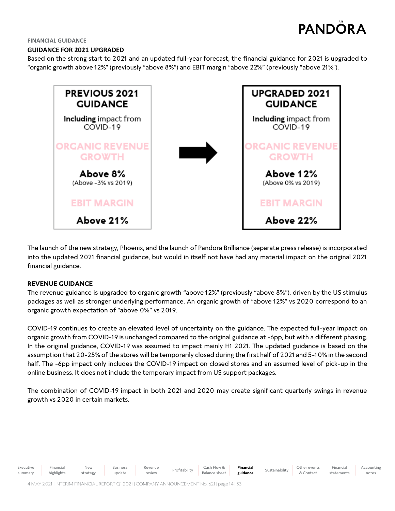Accounting notes

### **FINANCIAL GUIDANCE**

# **GUIDANCE FOR 2021 UPGRADED**

Based on the strong start to 2021 and an updated full-year forecast, the financial guidance for 2021 is upgraded to "organic growth above 12%" (previously "above 8%") and EBIT margin "above 22%" (previously "above 21%").



The launch of the new strategy, Phoenix, and the launch of Pandora Brilliance (separate press release) is incorporated into the updated 2021 financial guidance, but would in itself not have had any material impact on the original 2021 financial guidance.

# **REVENUE GUIDANCE**

The revenue guidance is upgraded to organic growth "above 12%" (previously "above 8%"), driven by the US stimulus packages as well as stronger underlying performance. An organic growth of "above 12%" vs 2020 correspond to an organic growth expectation of "above 0%" vs 2019.

COVID-19 continues to create an elevated level of uncertainty on the guidance. The expected full-year impact on organic growth from COVID-19 is unchanged compared to the original guidance at -6pp, but with a different phasing. In the original guidance, COVID-19 was assumed to impact mainly H1 2021. The updated guidance is based on the assumption that 20-25% of the stores will be temporarily closed during the first half of 2021 and 5-10% in the second half. The -6pp impact only includes the COVID-19 impact on closed stores and an assumed level of pick-up in the online business. It does not include the temporary impact from US support packages.

The combination of COVID-19 impact in both 2021 and 2020 may create significant quarterly swings in revenue growth vs 2020 in certain markets.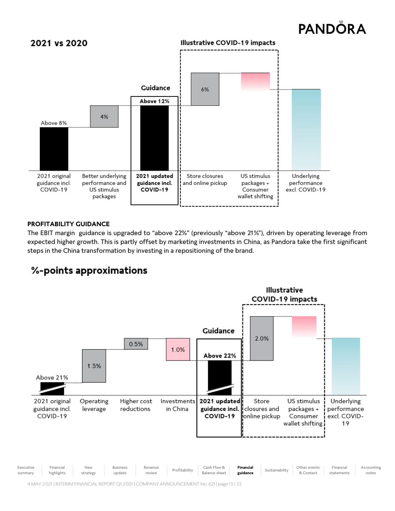

# **PROFITABILITY GUIDANCE**

The EBIT margin guidance is upgraded to "above 22%" (previously "above 21%"), driven by operating leverage from expected higher growth. This is partly offset by marketing investments in China, as Pandora take the first significant steps in the China transformation by investing in a repositioning of the brand.



# %-points approximations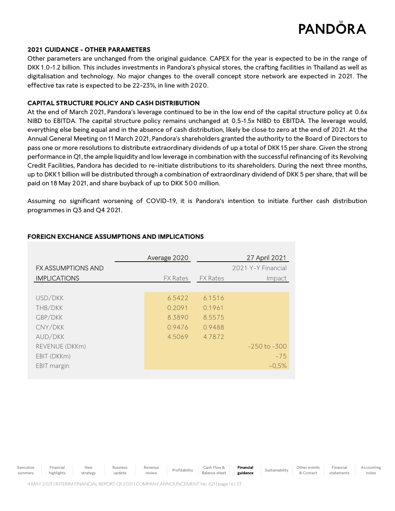

# **2021 GUIDANCE - OTHER PARAMETERS**

Other parameters are unchanged from the original guidance. CAPEX for the year is expected to be in the range of DKK 1.0-1.2 billion. This includes investments in Pandora's physical stores, the crafting facilities in Thailand as well as digitalisation and technology. No major changes to the overall concept store network are expected in 2021. The effective tax rate is expected to be 22-23%, in line with 2020.

# **CAPITAL STRUCTURE POLICY AND CASH DISTRIBUTION**

At the end of March 2021, Pandora's leverage continued to be in the low end of the capital structure policy at 0.6x NIBD to EBITDA. The capital structure policy remains unchanged at 0.5-1.5x NIBD to EBITDA. The leverage would, everything else being equal and in the absence of cash distribution, likely be close to zero at the end of 2021. At the Annual General Meeting on 11March 2021, Pandora's shareholders granted the authority to the Board of Directors to pass one or more resolutions to distribute extraordinary dividends of up a total of DKK 15 per share. Given the strong performance in Q1, the ample liquidity and low leverage in combination with the successful refinancing of its Revolving Credit Facilities, Pandora has decided to re-initiate distributions to its shareholders. During the next three months, up to DKK 1 billion will be distributed through a combination of extraordinary dividend of DKK 5 per share, that will be paid on 18 May 2021, and share buyback of up to DKK 500 million.

Assuming no significant worsening of COVID-19, it is Pandora's intention to initiate further cash distribution programmes in Q3 and Q4 2021.

|                           | Average 2020    |                 | 27 April 2021      |
|---------------------------|-----------------|-----------------|--------------------|
| <b>FX ASSUMPTIONS AND</b> |                 |                 | 2021 Y-Y Financial |
| <b>IMPLICATIONS</b>       | <b>FX Rates</b> | <b>FX Rates</b> | Impact             |
|                           |                 |                 |                    |
| USD/DKK                   | 6.5422          | 6.1516          |                    |
| THB/DKK                   | 0.2091          | 0.1961          |                    |
| GBP/DKK                   | 8.3890          | 8.5575          |                    |
| CNY/DKK                   | 0.9476          | 0.9488          |                    |
| AUD/DKK                   | 4.5069          | 4.7872          |                    |
| REVENUE (DKKm)            |                 |                 | $-250$ to $-300$   |
| EBIT (DKKm)               |                 |                 | ~275               |
| EBIT margin               |                 |                 | $~10,5\%$          |
|                           |                 |                 |                    |

# **FOREIGN EXCHANGE ASSUMPTIONS AND IMPLICATIONS**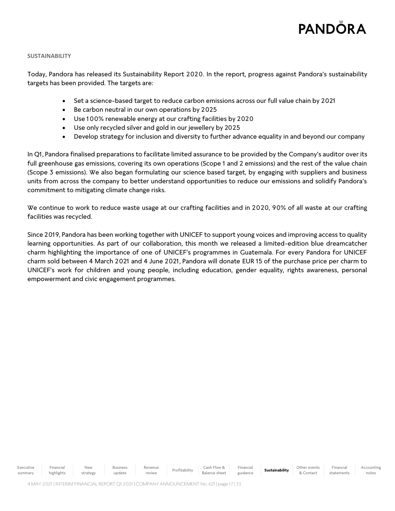### **SUSTAINABILITY**

Today, Pandora has released its Sustainability Report 2020. In the report, progress against Pandora's sustainability targets has been provided. The targets are:

- Set a science-based target to reduce carbon emissions across our full value chain by 2021
- Be carbon neutral in our own operations by 2025
- Use 100% renewable energy at our crafting facilities by 2020
- Use only recycled silver and gold in our jewellery by 2025
- Develop strategy for inclusion and diversity to further advance equality in and beyond our company

In Q1, Pandora finalised preparations to facilitate limited assurance to be provided by the Company's auditor over its full greenhouse gas emissions, covering its own operations (Scope 1 and 2 emissions) and the rest of the value chain (Scope 3 emissions). We also began formulating our science based target, by engaging with suppliers and business units from across the company to better understand opportunities to reduce our emissions and solidify Pandora's commitment to mitigating climate change risks.

We continue to work to reduce waste usage at our crafting facilities and in 2020, 90% of all waste at our crafting facilities was recycled.

Since 2019, Pandora has been working together with UNICEF to support young voices and improving access to quality learning opportunities. As part of our collaboration, this month we released a limited-edition blue dreamcatcher charm highlighting the importance of one of UNICEF's programmes in Guatemala. For every Pandora for UNICEF charm sold between 4 March 2021 and 4 June 2021, Pandora will donate EUR 15 of the purchase price per charm to UNICEF's work for children and young people, including education, gender equality, rights awareness, personal empowerment and civic engagement programmes.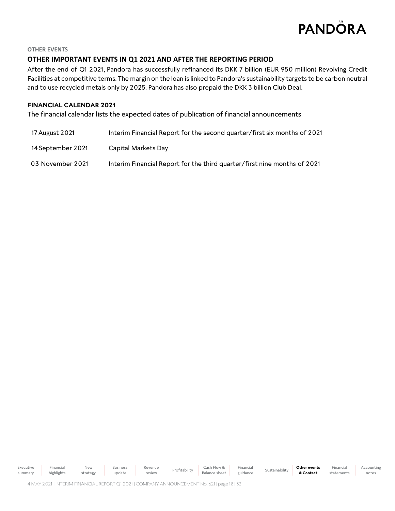

# **OTHER EVENTS**

# **OTHER IMPORTANT EVENTS IN Q1 2021 AND AFTER THE REPORTING PERIOD**

After the end of Q1 2021, Pandora has successfully refinanced its DKK 7 billion (EUR 950 million) Revolving Credit Facilities at competitive terms. The margin on the loan is linked to Pandora's sustainability targets to be carbon neutral and to use recycled metals only by 2025. Pandora has also prepaid the DKK 3 billion Club Deal.

# **FINANCIAL CALENDAR 2021**

The financial calendar lists the expected dates of publication of financial announcements

| 17 August 2021    | Interim Financial Report for the second quarter/first six months of 2021 |
|-------------------|--------------------------------------------------------------------------|
| 14 September 2021 | Capital Markets Day                                                      |
| 03 November 2021  | Interim Financial Report for the third quarter/first nine months of 2021 |

Executive summary Financial highlights New strategy Business update Revenue Revenue Profitability Cash Flow & Balance sheet Financial Financial Sustainability **Other events**<br>guidance **Sustainability & Contact & Contact** Financial statements Accounting notes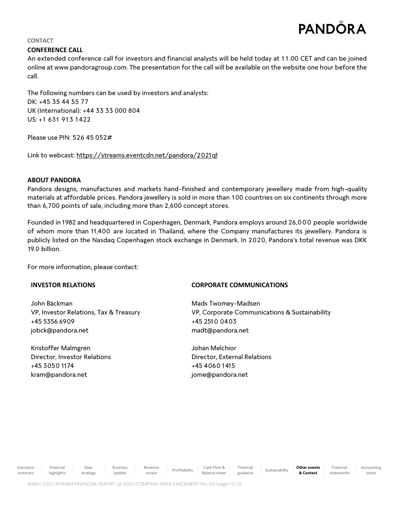# **PANDÔRA**

# **CONTACT**

# **CONFERENCE CALL**

An extended conference call for investors and financial analysts will be held today at 11.00 CET and can be joined online at www.pandoragroup.com. The presentation for the call will be available on the website one hour before the call.

The following numbers can be used by investors and analysts: DK: +45 35 44 55 77 UK (International): +44 33 33 000 804 US: +1 631 913 1422

Please use PIN: 526 45 052#

Link to webcast[: https://streams.eventcdn.net/pandora/2021q](https://streams.eventcdn.net/pandora/2021q1/)1

# **ABOUT PANDORA**

Pandora designs, manufactures and markets hand-finished and contemporary jewellery made from high-quality materials at affordable prices. Pandora jewellery is sold in more than 100 countries on six continents through more than 6,700 points of sale, including more than 2,600 concept stores.

Founded in 1982 and headquartered in Copenhagen, Denmark, Pandora employs around 26,0 0 0 people worldwide of whom more than 11,400 are located in Thailand, where the Company manufactures its jewellery. Pandora is publicly listed on the Nasdaq Copenhagen stock exchange in Denmark. In 2020, Pandora's total revenue was DKK 19.0 billion.

For more information, please contact:

# **INVESTOR RELATIONS**

John Bäckman VP, Investor Relations, Tax & Treasury +45 5356 6909 [jobck@pandora.net](mailto:jobck@pandora.net)

Kristoffer Malmgren Director, Investor Relations +45 3050 1174 kram@pandora.net

Executive summary

Financial highlights

New strategy

# **CORPORATE COMMUNICATIONS**

Mads Twomey-Madsen VP, Corporate Communications & Sustainability +45 2510 0403 madt@pandora.net

Johan Melchior Director, External Relations +45 4060 1415 jome@pandora.net

Revenue

Revenue Profitability Cash Flow &<br>
review Profitability Balance shee

Balance sheet

Financial

Financial Sustainability **Other events**<br>guidance Sustainability **& Contact** 

**& Contact**

Financial statements Accounting notes

Business update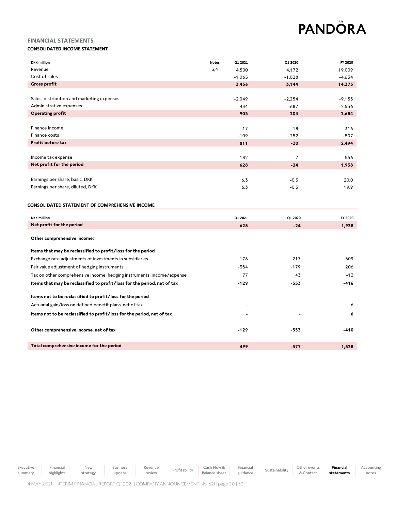Accounting notes

# **FINANCIAL STATEMENTS**

# **CONSOLIDATED INCOME STATEMENT**

| <b>DKK</b> million                                                       | <b>Notes</b> | Q1 2021  | Q1 2020        | FY 2020  |
|--------------------------------------------------------------------------|--------------|----------|----------------|----------|
| Revenue                                                                  | 3,4          | 4,500    | 4,172          | 19.009   |
| Cost of sales                                                            |              | $-1,065$ | $-1,028$       | $-4,634$ |
| <b>Gross profit</b>                                                      |              | 3,436    | 3,144          | 14,375   |
|                                                                          |              |          |                |          |
| Sales, distribution and marketing expenses                               |              | $-2,049$ | $-2,254$       | $-9,155$ |
| Administrative expenses                                                  |              | $-484$   | $-687$         | $-2,536$ |
| <b>Operating profit</b>                                                  |              | 903      | 204            | 2,684    |
|                                                                          |              |          |                |          |
| Finance income                                                           |              | 17       | 18             | 316      |
| Finance costs                                                            |              | $-109$   | $-252$         | $-507$   |
| Profit before tax                                                        |              | 811      | $-30$          | 2,494    |
|                                                                          |              |          |                |          |
| Income tax expense                                                       |              | $-182$   | $\overline{7}$ | $-556$   |
| Net profit for the period                                                |              | 628      | $-24$          | 1,938    |
|                                                                          |              |          |                |          |
| Earnings per share, basic, DKK                                           |              | 6.3      | $-0.3$         | 20.0     |
| Earnings per share, diluted, DKK                                         |              | 6.3      | $-0.3$         | 19.9     |
|                                                                          |              |          |                |          |
| CONSOLIDATED STATEMENT OF COMPREHENSIVE INCOME                           |              |          |                |          |
| <b>DKK</b> million                                                       |              | Q1 2021  | Q1 2020        | FY 2020  |
| Net profit for the period                                                |              | 628      | $-24$          | 1,938    |
|                                                                          |              |          |                |          |
| Other comprehensive income:                                              |              |          |                |          |
|                                                                          |              |          |                |          |
| Items that may be reclassified to profit/loss for the period             |              |          |                |          |
| Exchange rate adjustments of investments in subsidiaries                 |              | 178      | $-217$         | $-609$   |
| Fair value adjustment of hedging instruments                             |              | -384     | $-179$         | 206      |
| Tax on other comprehensive income, hedging instruments, income/expense   |              | 77       | 43             | $-13$    |
| Items that may be reclassified to profit/loss for the period, net of tax |              | $-129$   | -353           | -416     |
|                                                                          |              |          |                |          |
| Items not to be reclassified to profit/loss for the period               |              |          |                |          |
| Actuarial gain/loss on defined benefit plans, net of tax                 |              |          |                | 6        |
| Items not to be reclassified to profit/loss for the period, net of tax   |              |          |                | 6        |
|                                                                          |              |          |                |          |
| Other comprehensive income, net of tax                                   |              | $-129$   | $-353$         | -410     |
|                                                                          |              |          |                |          |
| Total comprehensive income for the period                                |              | 499      | $-377$         | 1,528    |

Executive summary Financial highlights New strategy Business update Revenue Revenue Profitability Cash Flow &<br>
review Profitability Balance sheet Balance sheet Financial Financial Sustainability Other events<br>guidance Sustainability & Contact & Contact **Financial statements**

4 MAY2021 | INTERIM FINANCIAL REPORT Q12021| COMPANY ANNOUNCEMENT No. 621| page 20 | 33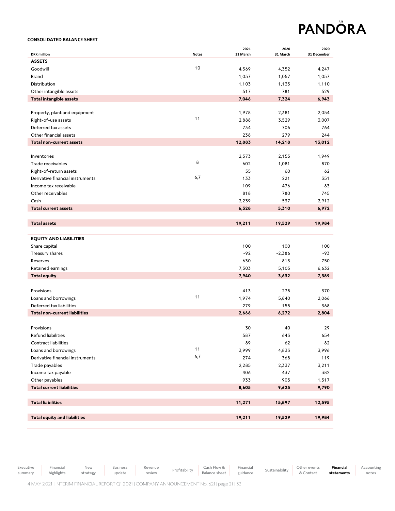### **CONSOLIDATED BALANCE SHEET**

| <b>DKK</b> million                                         | <b>Notes</b> | 2021<br>31 March | 2020<br>31 March | 2020<br>31 December |
|------------------------------------------------------------|--------------|------------------|------------------|---------------------|
| <b>ASSETS</b>                                              |              |                  |                  |                     |
| Goodwill                                                   | 10           | 4,369            | 4,352            | 4,247               |
| Brand                                                      |              | 1,057            | 1,057            | 1,057               |
| Distribution                                               |              | 1,103            | 1,133            | 1,110               |
| Other intangible assets                                    |              | 517              | 781              | 529                 |
| <b>Total intangible assets</b>                             |              | 7,046            | 7,324            | 6,943               |
|                                                            |              |                  |                  |                     |
| Property, plant and equipment                              |              | 1,978            | 2,381            | 2,054               |
| Right-of-use assets                                        | 11           | 2,888            | 3,529            | 3,007               |
| Deferred tax assets                                        |              | 734              | 706              | 764                 |
| Other financial assets                                     |              | 238              | 279              | 244                 |
| <b>Total non-current assets</b>                            |              | 12,883           | 14,218           | 13,012              |
|                                                            |              |                  |                  |                     |
| Inventories                                                | 8            | 2,373            | 2,155            | 1,949               |
| Trade receivables                                          |              | 602              | 1,081            | 870                 |
| Right-of-return assets<br>Derivative financial instruments | 6,7          | 55               | 60<br>221        | 62                  |
| Income tax receivable                                      |              | 133<br>109       | 476              | 351<br>83           |
| Other receivables                                          |              | 818              | 780              | 745                 |
| Cash                                                       |              | 2,239            | 537              | 2,912               |
| <b>Total current assets</b>                                |              | 6,328            | 5,310            | 6,972               |
|                                                            |              |                  |                  |                     |
| <b>Total assets</b>                                        |              | 19,211           | 19,529           | 19,984              |
|                                                            |              |                  |                  |                     |
| <b>EQUITY AND LIABILITIES</b>                              |              |                  |                  |                     |
| Share capital                                              |              | 100              | 100              | 100                 |
| Treasury shares                                            |              | $-92$            | $-2,386$         | -93                 |
| Reserves                                                   |              | 630              | 813              | 750                 |
| Retained earnings                                          |              | 7,303            | 5,105            | 6,632               |
| <b>Total equity</b>                                        |              | 7,940            | 3,632            | 7,389               |
|                                                            |              |                  |                  |                     |
| Provisions                                                 |              | 413              | 278              | 370                 |
| Loans and borrowings                                       | 11           | 1,974            | 5,840            | 2,066               |
| Deferred tax liabilities                                   |              | 279              | 155              | 368                 |
| <b>Total non-current liabilities</b>                       |              | 2,666            | 6,272            | 2,804               |
|                                                            |              |                  |                  |                     |
| Provisions                                                 |              | 30               | 40               | 29                  |
| Refund liabilities                                         |              | 587              | 643              | 654                 |
| Contract liabilities<br>Loans and borrowings               | 11           | 89               | 62               | 82                  |
|                                                            | 6,7          | 3,999<br>274     | 4,833            | 3,996               |
| Derivative financial instruments                           |              |                  | 368              | 119                 |
| Trade payables                                             |              | 2,285<br>406     | 2,337<br>437     | 3,211<br>382        |
| Income tax payable<br>Other payables                       |              | 933              | 905              | 1,317               |
| <b>Total current liabilities</b>                           |              | 8,605            | 9,625            | 9,790               |
|                                                            |              |                  |                  |                     |
| <b>Total liabilities</b>                                   |              | 11,271           | 15,897           | 12,595              |
|                                                            |              |                  |                  |                     |
| <b>Total equity and liabilities</b>                        |              | 19,211           | 19,529           | 19,984              |
|                                                            |              |                  |                  |                     |

Executive

summary

Financial

Revenue Revenue Profitability Cash Flow &<br>
review Profitability Balance sheet

Balance sheet Financial Accounting notes

update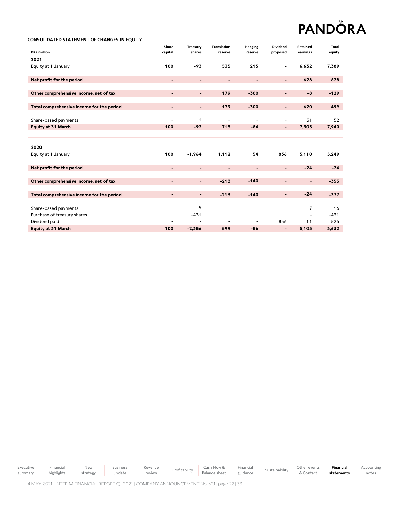Accounting notes

### **CONSOLIDATED STATEMENT OF CHANGES IN EQUITY**

|                                           | Share                    | Treasury                 | <b>Translation</b>           | <b>Hedging</b>           | <b>Dividend</b>          | Retained                 | Total  |
|-------------------------------------------|--------------------------|--------------------------|------------------------------|--------------------------|--------------------------|--------------------------|--------|
| <b>DKK</b> million                        | capital                  | shares                   | reserve                      | Reserve                  | proposed                 | earnings                 | equity |
| 2021                                      |                          |                          |                              |                          |                          |                          |        |
| Equity at 1 January                       | 100                      | $-93$                    | 535                          | 215                      | $\overline{a}$           | 6,632                    | 7,389  |
|                                           |                          |                          |                              |                          |                          |                          |        |
| Net profit for the period                 | $\overline{\phantom{a}}$ | $\blacksquare$           | $\qquad \qquad \blacksquare$ | $\overline{\phantom{a}}$ | $\blacksquare$           | 628                      | 628    |
|                                           |                          |                          |                              |                          |                          |                          |        |
| Other comprehensive income, net of tax    | $\blacksquare$           | $\overline{\phantom{0}}$ | 179                          | $-300$                   | $\overline{\phantom{0}}$ | $-8$                     | $-129$ |
|                                           |                          |                          |                              |                          |                          |                          |        |
| Total comprehensive income for the period | $\blacksquare$           | $\overline{\phantom{a}}$ | 179                          | $-300$                   | $\overline{\phantom{a}}$ | 620                      | 499    |
|                                           |                          |                          |                              |                          |                          |                          |        |
| Share-based payments                      | $\overline{a}$           | 1                        | $\overline{a}$               | $\overline{\phantom{a}}$ | -                        | 51                       | 52     |
| <b>Equity at 31 March</b>                 | 100                      | $-92$                    | 713                          | $-84$                    |                          | 7,303                    | 7,940  |
|                                           |                          |                          |                              |                          |                          |                          |        |
|                                           |                          |                          |                              |                          |                          |                          |        |
| 2020                                      |                          |                          |                              |                          |                          |                          |        |
| Equity at 1 January                       | 100                      | $-1,964$                 | 1,112                        | 54                       | 836                      | 5,110                    | 5,249  |
|                                           |                          |                          |                              |                          |                          |                          |        |
| Net profit for the period                 | $\blacksquare$           | $\blacksquare$           | $\blacksquare$               | $\overline{\phantom{a}}$ | $\overline{\phantom{a}}$ | $-24$                    | $-24$  |
|                                           |                          |                          |                              |                          |                          |                          |        |
| Other comprehensive income, net of tax    | $\blacksquare$           | $\blacksquare$           | $-213$                       | $-140$                   | $\overline{\phantom{a}}$ | $\overline{\phantom{a}}$ | $-353$ |
|                                           |                          |                          |                              |                          |                          |                          |        |
| Total comprehensive income for the period | $\blacksquare$           | $\blacksquare$           | $-213$                       | $-140$                   | $\overline{\phantom{0}}$ | $-24$                    | $-377$ |
|                                           |                          |                          |                              |                          |                          |                          |        |
| Share-based payments                      | $\overline{\phantom{a}}$ | 9                        | $\overline{\phantom{a}}$     | $\overline{\phantom{0}}$ | $\overline{\phantom{0}}$ | 7                        | 16     |
| Purchase of treasury shares               | -                        | $-431$                   |                              | -                        | $\overline{a}$           | $\overline{a}$           | $-431$ |
| Dividend paid                             |                          | ٠                        | $\overline{\phantom{a}}$     | $\sim$                   | $-836$                   | 11                       | $-825$ |
| Equity at 31 March                        | 100                      | $-2,386$                 | 899                          | $-86$                    | $\overline{\phantom{a}}$ | 5,105                    | 3,632  |

Executive summary Financial highlights New strategy Business update Revenue Revenue Profitability Cash Flow &<br>
review Profitability Balance sheet Balance sheet Financial Financial Sustainability Other events<br>guidance Sustainability & Contact & Contact **Financial statements**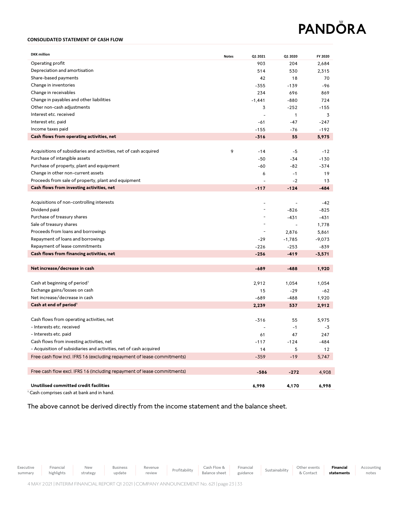### **CONSOLIDATED STATEMENT OF CASH FLOW**

| <b>DKK</b> million                                                      | <b>Notes</b> | Q1 2021  | Q1 2020      | FY 2020  |
|-------------------------------------------------------------------------|--------------|----------|--------------|----------|
| Operating profit                                                        |              | 903      | 204          | 2,684    |
| Depreciation and amortisation                                           |              | 514      | 530          | 2,315    |
| Share-based payments                                                    |              | 42       | 18           | 70       |
| Change in inventories                                                   |              | $-355$   | $-139$       | -96      |
| Change in receivables                                                   |              | 234      | 696          | 869      |
| Change in payables and other liabilities                                |              | $-1,441$ | $-880$       | 724      |
| Other non-cash adjustments                                              |              | 3        | $-252$       | $-155$   |
| Interest etc. received                                                  |              |          | $\mathbf{1}$ | 3        |
| Interest etc. paid                                                      |              | -61      | -47          | -247     |
| Income taxes paid                                                       |              | $-155$   | -76          | $-192$   |
| Cash flows from operating activities, net                               |              | $-316$   | 55           | 5,975    |
|                                                                         |              |          |              |          |
| Acquisitions of subsidiaries and activities, net of cash acquired       | 9            | $-14$    | -5           | $-12$    |
| Purchase of intangible assets                                           |              | $-50$    | $-34$        | $-130$   |
| Purchase of property, plant and equipment                               |              | -60      | -82          | $-374$   |
| Change in other non-current assets                                      |              | 6        | $-1$         | 19       |
| Proceeds from sale of property, plant and equipment                     |              |          | $-2$         | 13       |
| Cash flows from investing activities, net                               |              | $-117$   | $-124$       | $-484$   |
|                                                                         |              |          |              |          |
| Acquisitions of non-controlling interests                               |              |          |              | -42      |
| Dividend paid                                                           |              |          | $-826$       | $-825$   |
| Purchase of treasury shares                                             |              |          | -431         | -431     |
| Sale of treasury shares                                                 |              |          | $\sim$       | 1,778    |
| Proceeds from loans and borrowings                                      |              |          | 2,876        | 5,861    |
| Repayment of loans and borrowings                                       |              | -29      | $-1,785$     | $-9,073$ |
| Repayment of lease commitments                                          |              | $-226$   | $-253$       | $-839$   |
| Cash flows from financing activities, net                               |              | $-256$   | $-419$       | $-3,571$ |
|                                                                         |              |          |              |          |
| Net increase/decrease in cash                                           |              | $-689$   | $-488$       | 1,920    |
|                                                                         |              |          |              |          |
| Cash at beginning of period <sup>1</sup>                                |              | 2,912    | 1,054        | 1,054    |
| Exchange gains/losses on cash                                           |              | 15       | $-29$        | -62      |
| Net increase/decrease in cash                                           |              | $-689$   | -488         | 1,920    |
| Cash at end of period <sup>1</sup>                                      |              | 2,239    | 537          | 2,912    |
|                                                                         |              |          |              |          |
| Cash flows from operating activities, net                               |              | $-316$   | 55           | 5,975    |
| - Interests etc. received                                               |              |          | $-1$         | $-3$     |
| - Interests etc. paid                                                   |              | 61       | 47           | 247      |
| Cash flows from investing activities, net                               |              | -117     | -124         | -484     |
| - Acquisition of subsidiaries and activities, net of cash acquired      |              | 14       | 5            | 12       |
| Free cash flow incl. IFRS 16 (excluding repayment of lease commitments) |              | $-359$   | $-19$        | 5,747    |
|                                                                         |              |          |              |          |
| Free cash flow excl. IFRS 16 (including repayment of lease commitments) |              | -586     | $-272$       | 4,908    |
|                                                                         |              |          |              |          |
| Unutilised committed credit facilities                                  |              | 6,998    | 4,170        | 6,998    |

<sup>1</sup> Cash comprises cash at bank and in hand.

The above cannot be derived directly from the income statement and the balance sheet.

Revenue Revenue Profitability Cash Flow &<br>
review Profitability Balance sheet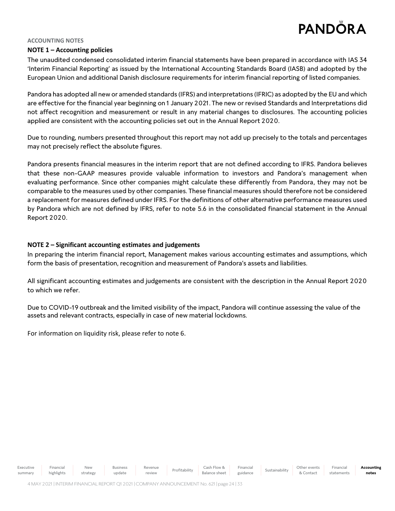### **ACCOUNTING NOTES**

# **NOTE 1 – Accounting policies**

The unaudited condensed consolidated interim financial statements have been prepared in accordance with IAS 34 'Interim Financial Reporting' as issued by the International Accounting Standards Board (IASB) and adopted by the European Union and additional Danish disclosure requirements for interim financial reporting of listed companies.

Pandora has adopted all new or amended standards (IFRS) and interpretations (IFRIC) as adopted by the EU and which are effective for the financial year beginning on 1 January 2021. The new or revised Standards and Interpretations did not affect recognition and measurement or result in any material changes to disclosures. The accounting policies applied are consistent with the accounting policies set out in the Annual Report 2020.

Due to rounding, numbers presented throughout this report may not add up precisely to the totals and percentages may not precisely reflect the absolute figures.

Pandora presents financial measures in the interim report that are not defined according to IFRS. Pandora believes that these non-GAAP measures provide valuable information to investors and Pandora's management when evaluating performance. Since other companies might calculate these differently from Pandora, they may not be comparable to the measures used by other companies. These financial measures should therefore not be considered a replacement for measures defined under IFRS. For the definitions of other alternative performance measures used by Pandora which are not defined by IFRS, refer to note 5.6 in the consolidated financial statement in the Annual Report 2020.

# **NOTE 2 – Significant accounting estimates and judgements**

In preparing the interim financial report, Management makes various accounting estimates and assumptions, which form the basis of presentation, recognition and measurement of Pandora's assets and liabilities.

All significant accounting estimates and judgements are consistent with the description in the Annual Report 2020 to which we refer.

Due to COVID-19 outbreak and the limited visibility of the impact, Pandora will continue assessing the value of the assets and relevant contracts, especially in case of new material lockdowns.

For information on liquidity risk, please refer to note 6.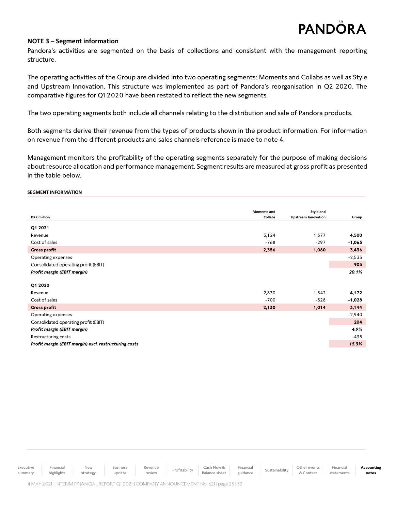# **NOTE 3 – Segment information**

Pandora's activities are segmented on the basis of collections and consistent with the management reporting structure.

The operating activities of the Group are divided into two operating segments: Moments and Collabs as well as Style and Upstream Innovation. This structure was implemented as part of Pandora's reorganisation in Q2 2020. The comparative figures for Q1 2020 have been restated to reflect the new segments.

The two operating segments both include all channels relating to the distribution and sale of Pandora products.

Both segments derive their revenue from the types of products shown in the product information. For information on revenue from the different products and sales channels reference is made to note 4.

Management monitors the profitability of the operating segments separately for the purpose of making decisions about resource allocation and performance management. Segment results are measured at gross profit as presented in the table below.

### **SEGMENT INFORMATION**

|                                                       | <b>Moments and</b> | Style and                  |          |
|-------------------------------------------------------|--------------------|----------------------------|----------|
| <b>DKK</b> million                                    | Collabs            | <b>Upstream Innovation</b> | Group    |
| Q1 2021                                               |                    |                            |          |
| Revenue                                               | 3,124              | 1,377                      | 4,500    |
| Cost of sales                                         | $-768$             | $-297$                     | $-1,065$ |
| <b>Gross profit</b>                                   | 2,356              | 1,080                      | 3,436    |
| Operating expenses                                    |                    |                            | $-2,533$ |
| Consolidated operating profit (EBIT)                  |                    |                            | 903      |
| Profit margin (EBIT margin)                           |                    |                            | 20.1%    |
|                                                       |                    |                            |          |
| Q1 2020                                               |                    |                            |          |
| Revenue                                               | 2,830              | 1,342                      | 4,172    |
| Cost of sales                                         | $-700$             | $-328$                     | $-1,028$ |
| <b>Gross profit</b>                                   | 2,130              | 1,014                      | 3,144    |
| Operating expenses                                    |                    |                            | $-2,940$ |
| Consolidated operating profit (EBIT)                  |                    |                            | 204      |
| Profit margin (EBIT margin)                           |                    |                            | 4.9%     |
| Restructuring costs                                   |                    |                            | $-435$   |
| Profit margin (EBIT margin) excl. restructuring costs |                    |                            | 15.3%    |
|                                                       |                    |                            |          |

| Executive | Financial  | <b>New</b> | <b>Business</b> | Revenue Profitability | Cash Flow & Financial Sustainability                                                    |          | Other events | Financial  | Accounting |
|-----------|------------|------------|-----------------|-----------------------|-----------------------------------------------------------------------------------------|----------|--------------|------------|------------|
| summary   | highlights | strategy   | update          | review                | Balance sheet                                                                           | guidance |              | statements | notes      |
|           |            |            |                 |                       | 4 MAY 2021 LINTERIM FINANCIAL REPORT 01 2021 COMPANY ANNOUNCEMENT No. 621 Lpage 25   33 |          |              |            |            |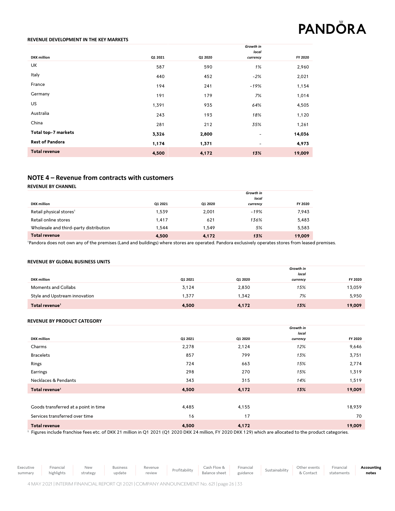### **REVENUE DEVELOPMENT IN THE KEY MARKETS**

|                        |         |         | Growth in<br>local       |         |
|------------------------|---------|---------|--------------------------|---------|
| <b>DKK</b> million     | Q1 2021 | Q1 2020 | currency                 | FY 2020 |
| UK                     | 587     | 590     | 1%                       | 2,960   |
| Italy                  | 440     | 452     | $-2%$                    | 2,021   |
| France                 | 194     | 241     | -19%                     | 1,154   |
| Germany                | 191     | 179     | 7%                       | 1,014   |
| <b>US</b>              | 1,391   | 935     | 64%                      | 4,505   |
| Australia              | 243     | 193     | 18%                      | 1,120   |
| China                  | 281     | 212     | 35%                      | 1,261   |
| Total top-7 markets    | 3,326   | 2,800   | $\overline{\phantom{a}}$ | 14,036  |
| <b>Rest of Pandora</b> | 1,174   | 1,371   | -                        | 4,973   |
| <b>Total revenue</b>   | 4,500   | 4,172   | 13%                      | 19,009  |
|                        |         |         |                          |         |

# **NOTE 4 – Revenue from contracts with customers**

**REVENUE BY CHANNEL**

| <b>DKK</b> million                     | Q1 2021 | Q1 2020 | Growth in<br>local<br>currency | FY 2020 |
|----------------------------------------|---------|---------|--------------------------------|---------|
| Retail physical stores <sup>1</sup>    | 1,539   | 2.001   | $-19%$                         | 7,943   |
| Retail online stores                   | 1.417   | 621     | 136%                           | 5,483   |
| Wholesale and third-party distribution | 1.544   | 1.549   | 5%                             | 5,583   |
| <b>Total revenue</b>                   | 4,500   | 4,172   | 13%                            | 19,009  |

<sup>1</sup>Pandora does not own any of the premises (Land and buildings) where stores are operated. Pandora exclusively operates stores from leased premises.

### **REVENUE BY GLOBAL BUSINESS UNITS**

|                               |         |         | Growth in |         |
|-------------------------------|---------|---------|-----------|---------|
|                               |         |         | local     |         |
| <b>DKK</b> million            | Q1 2021 | Q1 2020 | currency  | FY 2020 |
| Moments and Collabs           | 3,124   | 2,830   | 15%       | 13,059  |
| Style and Upstream innovation | .377    | 1.342   | 7%        | 5.950   |
| Total revenue <sup>1</sup>    | 4,500   | 4,172   | 13%       | 19,009  |

### **REVENUE BY PRODUCT CATEGORY**

|                                      |         |         | Growth in<br>local |         |
|--------------------------------------|---------|---------|--------------------|---------|
| <b>DKK</b> million                   | Q1 2021 | Q1 2020 | currency           | FY 2020 |
| Charms                               | 2,278   | 2,124   | 12%                | 9,646   |
| <b>Bracelets</b>                     | 857     | 799     | 13%                | 3,751   |
| Rings                                | 724     | 663     | 15%                | 2,774   |
| Earrings                             | 298     | 270     | 15%                | 1,319   |
| Necklaces & Pendants                 | 343     | 315     | 14%                | 1,519   |
| Total revenue <sup>1</sup>           | 4,500   | 4,172   | 13%                | 19,009  |
|                                      |         |         |                    |         |
| Goods transferred at a point in time | 4,485   | 4,155   |                    | 18,939  |
| Services transferred over time       | 16      | 17      |                    | 70      |
| <b>Total revenue</b>                 | 4,500   | 4,172   |                    | 19,009  |

<sup>1</sup> Figures include franchise fees etc. of DKK 21 million in Q1 2021 (Q1 2020 DKK 24 million, FY 2020 DKK 129) which are allocated to the product categories.

Financial highlights Business update Revenue

Revenue Profitability Cash Flow &<br>
review Profitability Balance sheet

Balance sheet Financial **Accounting notes**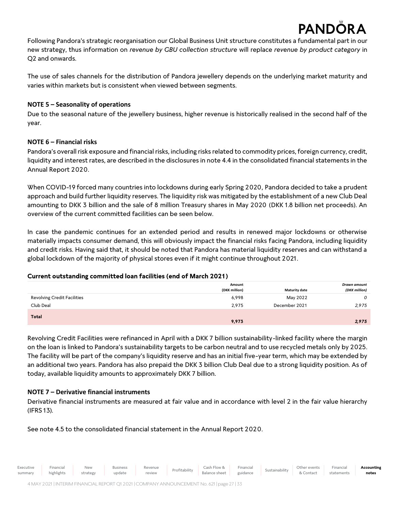# **PAND**

Following Pandora's strategic reorganisation our Global Business Unit structure constitutes a fundamental part in our new strategy, thus information on *revenue by GBU collection structure* will replace *revenue by product category* in Q2 and onwards.

The use of sales channels for the distribution of Pandora jewellery depends on the underlying market maturity and varies within markets but is consistent when viewed between segments.

# **NOTE 5 – Seasonality of operations**

Due to the seasonal nature of the jewellery business, higher revenue is historically realised in the second half of the year.

# **NOTE 6 – Financial risks**

Pandora's overall risk exposure and financial risks, including risks related to commodity prices, foreign currency, credit, liquidity and interest rates, are described in the disclosures in note 4.4 in the consolidated financial statements in the Annual Report 2020.

When COVID-19 forced many countries into lockdowns during early Spring 2020, Pandora decided to take a prudent approach and build further liquidity reserves. The liquidity risk was mitigated by the establishment of a new Club Deal amounting to DKK 3 billion and the sale of 8 million Treasury shares in May 2020 (DKK 1.8 billion net proceeds). An overview of the current committed facilities can be seen below.

In case the pandemic continues for an extended period and results in renewed major lockdowns or otherwise materially impacts consumer demand, this will obviously impact the financial risks facing Pandora, including liquidity and credit risks. Having said that, it should be noted that Pandora has material liquidity reserves and can withstand a global lockdown of the majority of physical stores even if it might continue throughout 2021.

# **Current outstanding committed loan facilities (end of March 2021)**

|                                    | Amount<br>(DKK million) | <b>Maturity date</b> | Drawn amount<br>(DKK million) |
|------------------------------------|-------------------------|----------------------|-------------------------------|
| <b>Revolving Credit Facilities</b> | 6,998                   | May 2022             | 0                             |
| Club Deal                          | 2,975                   | December 2021        | 2,975                         |
| Total                              | 9,973                   |                      | 2,975                         |

Revolving Credit Facilities were refinanced in April with a DKK 7 billion sustainability-linked facility where the margin on the loan is linked to Pandora's sustainability targets to be carbon neutral and to use recycled metals only by 2025. The facility will be part of the company's liquidity reserve and has an initial five-year term, which may be extended by an additional two years. Pandora has also prepaid the DKK 3 billion Club Deal due to a strong liquidity position. As of today, available liquidity amounts to approximately DKK 7 billion.

# **NOTE 7 – Derivative financial instruments**

Derivative financial instruments are measured at fair value and in accordance with level 2 in the fair value hierarchy (IFRS 13).

See note 4.5 to the consolidated financial statement in the Annual Report 2020.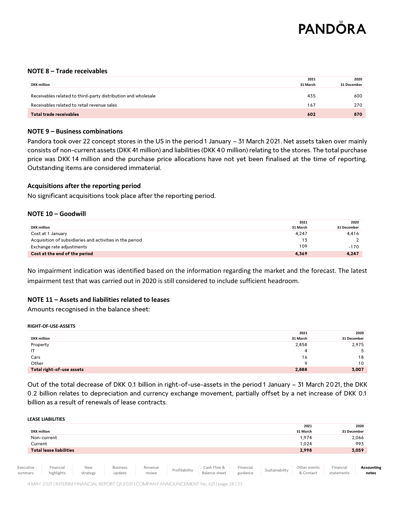

# **NOTE 8 – Trade receivables**

| <b>DKK</b> million                                            | 2021<br>31 March | 2020<br>31 December |
|---------------------------------------------------------------|------------------|---------------------|
|                                                               |                  |                     |
| Receivables related to third-party distribution and wholesale | 435              | 600                 |
| Receivables related to retail revenue sales                   | 167              | 270                 |
| Total trade receivables                                       | 602              | 870                 |

# **NOTE 9 – Business combinations**

Pandora took over 22 concept stores in the US in the period 1 January – 31 March 2021. Net assets taken over mainly consists of non-current assets (DKK 41 million) and liabilities (DKK 40 million) relating to the stores. The total purchase price was DKK 14 million and the purchase price allocations have not yet been finalised at the time of reporting. Outstanding items are considered immaterial.

# **Acquisitions after the reporting period**

No significant acquisitions took place after the reporting period.

# **NOTE 10 – Goodwill**

|                                                          | 2021     | 2020        |
|----------------------------------------------------------|----------|-------------|
| <b>DKK</b> million                                       | 31 March | 31 December |
| Cost at 1 January                                        | 4,247    | 4.416       |
| Acquisition of subsidiaries and activities in the period | 13       |             |
| Exchange rate adjustments                                | 109      | $-170$      |
| Cost at the end of the period                            | 4,369    | 4,247       |

No impairment indication was identified based on the information regarding the market and the forecast. The latest impairment test that was carried out in 2020 is still considered to include sufficient headroom.

# **NOTE 11 – Assets and liabilities related to leases**

Amounts recognised in the balance sheet:

### **RIGHT-OF-USE-ASSETS**

|                           | 2021     | 2020        |
|---------------------------|----------|-------------|
| <b>DKK</b> million        | 31 March | 31 December |
| Property                  | 2,858    | 2,975       |
| IT                        |          | 5           |
| Cars                      | 16       | 18          |
| Other                     | $\circ$  | 10          |
| Total right-of-use assets | 2,888    | 3,007       |

Out of the total decrease of DKK 0.1 billion in right-of-use-assets in the period 1 January – 31 March 2021, the DKK 0.2 billion relates to depreciation and currency exchange movement, partially offset by a net increase of DKK 0.1 billion as a result of renewals of lease contracts.

**LEASE LIABILITIES**

|                      | <b>DKK million</b>             |                        |                           |                   |               |                                     |                       |                | 2021<br>31 March          | 31 December             | 2020                |
|----------------------|--------------------------------|------------------------|---------------------------|-------------------|---------------|-------------------------------------|-----------------------|----------------|---------------------------|-------------------------|---------------------|
|                      | Non-current                    |                        |                           |                   |               |                                     |                       |                | 1,974                     |                         | 2,066               |
|                      | Current                        |                        |                           |                   |               |                                     |                       |                | 1.024                     |                         | 993                 |
|                      | <b>Total lease liabilities</b> |                        |                           |                   |               |                                     |                       |                | 2,998                     |                         | 3,059               |
| Executive<br>summary | Financial<br>highlights        | <b>New</b><br>strategy | <b>Business</b><br>update | Revenue<br>review | Profitability | Cash Flow &<br><b>Balance sheet</b> | Financial<br>guidance | Sustainability | Other events<br>& Contact | Financial<br>statements | Accounting<br>notes |

4 MAY2021 | INTERIM FINANCIAL REPORT Q12021| COMPANY ANNOUNCEMENT No. 621| page 28 | 33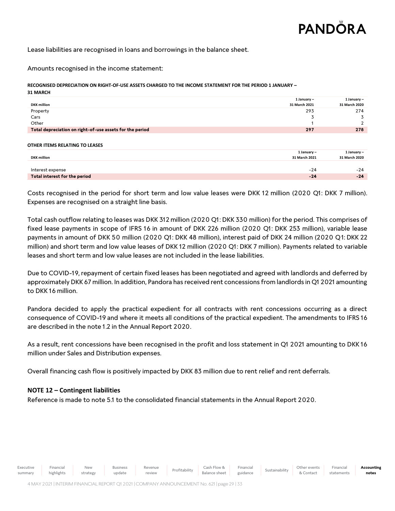**Accounting notes**

Lease liabilities are recognised in loans and borrowings in the balance sheet.

Amounts recognised in the income statement:

**RECOGNISED DEPRECIATION ON RIGHT-OF-USE ASSETS CHARGED TO THE INCOME STATEMENT FOR THE PERIOD 1 JANUARY – 31 MARCH**

| <b>DKK</b> million                                       | 1 January $-$<br>31 March 2021 | 1 January $-$<br>31 March 2020 |
|----------------------------------------------------------|--------------------------------|--------------------------------|
| Property                                                 | 293                            | 274                            |
| Cars                                                     |                                |                                |
| Other                                                    |                                |                                |
| Total depreciation on right-of-use assets for the period | 297                            | 278                            |
|                                                          |                                |                                |

### **OTHER ITEMS RELATING TO LEASES**

| <b>DKK</b> million            | 1 January –<br>31 March 2021 | 1 January –<br>31 March 2020 |
|-------------------------------|------------------------------|------------------------------|
| Interest expense              | $-24$                        | $-24$                        |
| Total interest for the period | $-24$                        | $-24$                        |

Costs recognised in the period for short term and low value leases were DKK 12 million (2020 Q1: DKK 7 million). Expenses are recognised on a straight line basis.

Total cash outflow relating to leases was DKK 312 million (2020 Q1: DKK 330 million) for the period. This comprises of fixed lease payments in scope of IFRS 16 in amount of DKK 226 million (2020 Q1: DKK 253 million), variable lease payments in amount of DKK 50 million (2020 Q1: DKK 48 million), interest paid of DKK 24 million (2020 Q1: DKK 22 million) and short term and low value leases of DKK 12 million (2020 Q1: DKK 7 million). Payments related to variable leases and short term and low value leases are not included in the lease liabilities.

Due to COVID-19, repayment of certain fixed leases has been negotiated and agreed with landlords and deferred by approximately DKK 67 million. In addition, Pandora has received rent concessions from landlords in Q1 2021 amounting to DKK 16 million.

Pandora decided to apply the practical expedient for all contracts with rent concessions occurring as a direct consequence of COVID-19 and where it meets all conditions of the practical expedient. The amendments to IFRS 16 are described in the note 1.2 in the Annual Report 2020.

As a result, rent concessions have been recognised in the profit and loss statement in Q1 2021 amounting to DKK 16 million under Sales and Distribution expenses.

Overall financing cash flow is positively impacted by DKK 83 million due to rent relief and rent deferrals.

# **NOTE 12 – Contingent liabilities**

Reference is made to note 5.1 to the consolidated financial statements in the Annual Report 2020.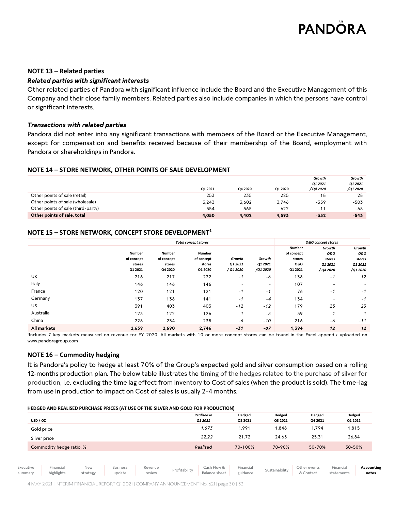# **NOTE 13 – Related parties**

# *Related parties with significant interests*

Other related parties of Pandora with significant influence include the Board and the Executive Management of this Company and their close family members. Related parties also include companies in which the persons have control or significant interests.

# *Transactions with related parties*

Pandora did not enter into any significant transactions with members of the Board or the Executive Management, except for compensation and benefits received because of their membership of the Board, employment with Pandora or shareholdings in Pandora.

# **NOTE 14 – STORE NETWORK, OTHER POINTS OF SALE DEVELOPMENT**

|                                    |         |         |         | Growth    | Growth   |
|------------------------------------|---------|---------|---------|-----------|----------|
|                                    |         |         |         | 01 2021   | 01 2021  |
|                                    | 01 2021 | Q4 2020 | Q1 2020 | / Q4 2020 | /Q1 2020 |
| Other points of sale (retail)      | 253     | 235     | 225     | 18        | 28       |
| Other points of sale (wholesale)   | 3.243   | 3,602   | 3,746   | $-359$    | $-503$   |
| Other points of sale (third-party) | 554     | 565     | 622     | $-11$     | -68      |
| Other points of sale, total        | 4.050   | 4.402   | 4,593   | $-352$    | $-543$   |

# **NOTE 15 – STORE NETWORK, CONCEPT STORE DEVELOPMENT<sup>1</sup>**

|             | <b>Total concept stores</b>               |                                                  |                                                  |                                |                               |                                                         | <b>O&amp;O</b> concept stores                   |                                                |
|-------------|-------------------------------------------|--------------------------------------------------|--------------------------------------------------|--------------------------------|-------------------------------|---------------------------------------------------------|-------------------------------------------------|------------------------------------------------|
|             | Number<br>of concept<br>stores<br>Q1 2021 | <b>Number</b><br>of concept<br>stores<br>Q4 2020 | <b>Number</b><br>of concept<br>stores<br>Q1 2020 | Growth<br>Q1 2021<br>/ Q4 2020 | Growth<br>Q1 2021<br>/Q1 2020 | <b>Number</b><br>of concept<br>stores<br>0&0<br>Q1 2021 | Growth<br>0&0<br>stores<br>Q1 2021<br>/ Q4 2020 | Growth<br>0&0<br>stores<br>Q1 2021<br>/Q1 2020 |
| <b>UK</b>   | 216                                       | 217                                              | 222                                              | - 1                            | -6                            | 138                                                     | - 1                                             | 12                                             |
| Italy       | 146                                       | 146                                              | 146                                              | н.                             | $\sim$                        | 107                                                     | $\overline{\phantom{a}}$                        | $\sim$                                         |
| France      | 120                                       | 121                                              | 121                                              | - 1                            | - 1                           | 76                                                      | - 1                                             | $-1$                                           |
| Germany     | 137                                       | 138                                              | 141                                              | $-1$                           | $-4$                          | 134                                                     | $\overline{\phantom{a}}$                        | -1                                             |
| US.         | 391                                       | 403                                              | 403                                              | $-12$                          | $-12$                         | 179                                                     | 25                                              | 23                                             |
| Australia   | 123                                       | 122                                              | 126                                              |                                | $-3$                          | 39                                                      |                                                 |                                                |
| China       | 228                                       | 234                                              | 238                                              | -6                             | $-10$                         | 216                                                     | -6                                              | $-11$                                          |
| All markets | 2,659                                     | 2,690                                            | 2,746                                            | $-31$                          | $-87$                         | 1,394                                                   | 12                                              | 12                                             |

1 Includes 7 key markets measured on revenue for FY 2020. All markets with 10 or more concept stores can be found in the Excel appendix uploaded on www.pandoragroup.com

# **NOTE 16 – Commodity hedging**

It is Pandora's policy to hedge at least 70% of the Group's expected gold and silver consumption based on a rolling 12-months production plan. The below table illustrates the timing of the hedges related to the purchase of silver for production, i.e. excluding the time lag effect from inventory to Cost of sales (when the product is sold). The time-lag from use in production to impact on Cost of sales is usually 2-4 months.

### **HEDGED AND REALISED PURCHASE PRICES (AT USE OF THE SILVER AND GOLD FOR PRODUCTION)**

| USD / OZ                 | <b>Realised in</b><br>Q1 2021 | Hedged<br>Q2 2021 | Hedged<br>Q3 2021 | Hedged<br>Q4 2021 | Hedged<br>Q1 2022 |
|--------------------------|-------------------------------|-------------------|-------------------|-------------------|-------------------|
| Gold price               | 1,673                         | 1,991             | 848, 1            | 1,794             | 1,815             |
| Silver price             | 22.22                         | 21.72             | 24.65             | 25.31             | 26.84             |
| Commodity hedge ratio, % | Realised                      | 70-100%           | 70-90%            | 50-70%            | 30-50%            |
|                          |                               |                   |                   |                   |                   |

Executive summary Financial highlights New strategy Business update Revenue Revenue | Profitability | Cash Flow & Review Balance sheet Financial Sustainability Other events & Contact Financial statements **Accounting notes**

4 MAY2021 | INTERIM FINANCIAL REPORT Q12021| COMPANY ANNOUNCEMENT No. 621| page 30 | 33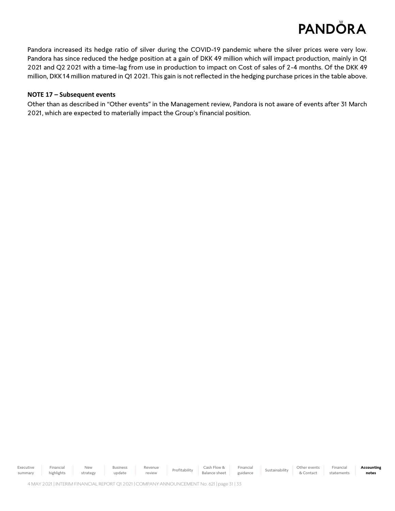Pandora increased its hedge ratio of silver during the COVID-19 pandemic where the silver prices were very low. Pandora has since reduced the hedge position at a gain of DKK 49 million which will impact production, mainly in Q1 2021 and Q2 2021 with a time-lag from use in production to impact on Cost of sales of 2-4 months. Of the DKK 49 million, DKK 14 million matured in Q1 2021. This gain is not reflected in the hedging purchase prices in the table above.

# **NOTE 17 – Subsequent events**

Other than as described in "Other events" in the Management review, Pandora is not aware of events after 31 March 2021, which are expected to materially impact the Group's financial position.

Executive summary Financial highlights New strategy Business update Revenue Revenue | Profitability | Cash Flow & Review Balance sheet Financial Financial Sustainability Other events<br>guidance Sustainability & Contact & Contact Financial statements **Accounting notes**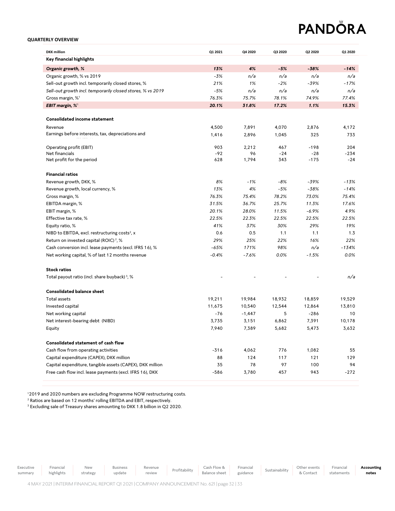### **QUARTERLY OVERVIEW**

| <b>DKK</b> million                                         | Q1 2021 | Q4 2020  | Q3 2020 | Q2 2020 | Q1 2020 |
|------------------------------------------------------------|---------|----------|---------|---------|---------|
| Key financial highlights                                   |         |          |         |         |         |
| Organic growth, %                                          | 13%     | 4%       | $-5%$   | $-38%$  | $-14%$  |
| Organic growth, % vs 2019                                  | $-3%$   | n/a      | n/a     | n/a     | n/a     |
| Sell-out growth incl. temporarily closed stores, %         | 21%     | 1%       | $-2%$   | $-39%$  | $-17%$  |
| Sell-out growth incl. temporarily closed stores, % vs 2019 | $-5%$   | n/a      | n/a     | n/a     | n/a     |
| Gross margin, % <sup>1</sup>                               | 76.3%   | 75.7%    | 78.1%   | 74.9%   | 77.4%   |
| EBIT margin, % <sup>1</sup>                                | 20.1%   | 31.8%    | 17.2%   | 1.1%    | 15.3%   |
| <b>Consolidated income statement</b>                       |         |          |         |         |         |
| Revenue                                                    |         | 7,891    |         | 2,876   | 4,172   |
| Earnings before interests, tax, depreciations and          | 4,500   |          | 4,070   |         |         |
|                                                            | 1,416   | 2,896    | 1,045   | 325     | 733     |
| Operating profit (EBIT)                                    | 903     | 2,212    | 467     | $-198$  | 204     |
| Net financials                                             | $-92$   | 96       | $-24$   | $-28$   | $-234$  |
| Net profit for the period                                  | 628     | 1,794    | 343     | $-175$  | $-24$   |
| <b>Financial ratios</b>                                    |         |          |         |         |         |
| Revenue growth, DKK, %                                     | 8%      | $-1%$    | $-8%$   | $-39%$  | $-13%$  |
| Revenue growth, local currency, %                          | 13%     | 4%       | $-5%$   | $-38%$  | $-14%$  |
| Gross margin, %                                            | 76.3%   | 75.4%    | 78.2%   | 73.0%   | 75.4%   |
| EBITDA margin, %                                           | 31.5%   | 36.7%    | 25.7%   | 11.3%   | 17.6%   |
| EBIT margin, %                                             | 20.1%   | 28.0%    | 11.5%   | $-6.9%$ | 4.9%    |
| Effective tax rate, %                                      | 22.5%   | 22.3%    | 22.5%   | 22.5%   | 22.5%   |
| Equity ratio, %                                            | 41%     | 37%      | 30%     | 29%     | 19%     |
| NIBD to EBITDA, excl. restructuring costs <sup>2</sup> , x | 0.6     | 0.5      | 1.1     | 1.1     | 1.3     |
| Return on invested capital (ROIC) <sup>2</sup> , %         | 29%     | 25%      | 22%     | 16%     | 22%     |
| Cash conversion incl. lease payments (excl. IFRS 16), %    | $-65%$  | 171%     | 98%     | n/a     | $-134%$ |
| Net working capital, % of last 12 months revenue           | $-0.4%$ | $-7.6%$  | 0.0%    | $-1.5%$ | 0.0%    |
| <b>Stock ratios</b>                                        |         |          |         |         |         |
| Total payout ratio (incl. share buyback) <sup>3</sup> , %  |         |          |         |         | n/a     |
|                                                            |         |          |         |         |         |
| <b>Consolidated balance sheet</b>                          |         |          |         |         |         |
| Total assets                                               | 19,211  | 19,984   | 18,932  | 18,859  | 19,529  |
| Invested capital                                           | 11,675  | 10,540   | 12,544  | 12,864  | 13,810  |
| Net working capital                                        | $-76$   | $-1,447$ | 5       | $-286$  | 10      |
| Net interest-bearing debt (NIBD)                           | 3,735   | 3,151    | 6,862   | 7,391   | 10,178  |
| Equity                                                     | 7,940   | 7,389    | 5,682   | 5,473   | 3,632   |
| Consolidated statement of cash flow                        |         |          |         |         |         |
| Cash flow from operating activities                        | $-316$  | 4,062    | 776     | 1,082   | 55      |
| Capital expenditure (CAPEX), DKK million                   | 88      | 124      | 117     | 121     | 129     |
| Capital expenditure, tangible assets (CAPEX), DKK million  | 35      | 78       | 97      | 100     | 94      |
| Free cash flow incl. lease payments (excl. IFRS 16), DKK   | $-586$  | 3,780    | 457     | 943     | $-272$  |

<sup>1</sup>2019 and 2020 numbers are excluding Programme NOW restructuring costs.

<sup>2</sup> Ratios are based on 12 months' rolling EBITDA and EBIT, respectively.

<sup>3</sup> Excluding sale of Treasury shares amounting to DKK 1.8 billion in Q2 2020.

Executive

summary

Financial highlights

New strategy Revenue review Profitability Cash Flow & Balance sheet

Financial

**Accounting notes**

4 MAY2021 | INTERIM FINANCIAL REPORT Q12021| COMPANY ANNOUNCEMENT No. 621| page 32 | 33

Business update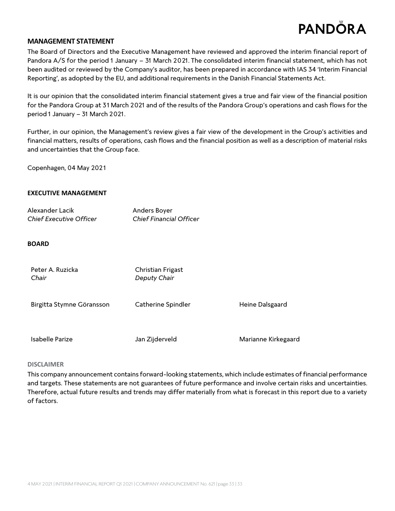# **MANAGEMENT STATEMENT**

The Board of Directors and the Executive Management have reviewed and approved the interim financial report of Pandora A/S for the period 1 January – 31 March 2021. The consolidated interim financial statement, which has not been audited or reviewed by the Company's auditor, has been prepared in accordance with IAS 34 'Interim Financial Reporting', as adopted by the EU, and additional requirements in the Danish Financial Statements Act.

It is our opinion that the consolidated interim financial statement gives a true and fair view of the financial position for the Pandora Group at 31 March 2021 and of the results of the Pandora Group's operations and cash flows for the period 1 January – 31 March 2021.

Further, in our opinion, the Management's review gives a fair view of the development in the Group's activities and financial matters, results of operations, cash flows and the financial position as well as a description of material risks and uncertainties that the Group face.

Copenhagen, 04 May 2021

# **EXECUTIVE MANAGEMENT**

| Alexander Lacik                | Anders Boyer                   |
|--------------------------------|--------------------------------|
| <b>Chief Executive Officer</b> | <b>Chief Financial Officer</b> |

# **BOARD**

| Peter A. Ruzicka<br>Chair | Christian Frigast<br>Deputy Chair |                     |
|---------------------------|-----------------------------------|---------------------|
| Birgitta Stymne Göransson | Catherine Spindler                | Heine Dalsgaard     |
| Isabelle Parize           | Jan Zijderveld                    | Marianne Kirkegaard |

# **DISCLAIMER**

This company announcement contains forward-looking statements, which include estimates of financial performance and targets. These statements are not guarantees of future performance and involve certain risks and uncertainties. Therefore, actual future results and trends may differ materially from what is forecast in this report due to a variety of factors.